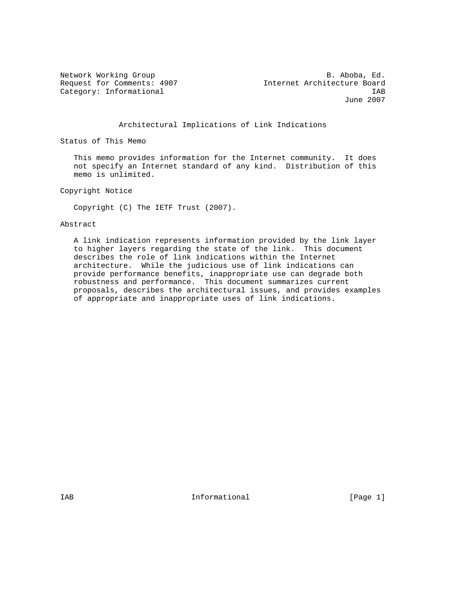Network Working Group and the set of the set of the B. Aboba, Ed. Request for Comments: 4907 Internet Architecture Board Category: Informational intervals of the set of the set of the set of the set of the set of the set of the set of the set of the set of the set of the set of the set of the set of the set of the set of the set of the set o June 2007

Architectural Implications of Link Indications

Status of This Memo

 This memo provides information for the Internet community. It does not specify an Internet standard of any kind. Distribution of this memo is unlimited.

Copyright Notice

Copyright (C) The IETF Trust (2007).

Abstract

 A link indication represents information provided by the link layer to higher layers regarding the state of the link. This document describes the role of link indications within the Internet architecture. While the judicious use of link indications can provide performance benefits, inappropriate use can degrade both robustness and performance. This document summarizes current proposals, describes the architectural issues, and provides examples of appropriate and inappropriate uses of link indications.

IAB 188 CHA Informational The Informational (Page 1)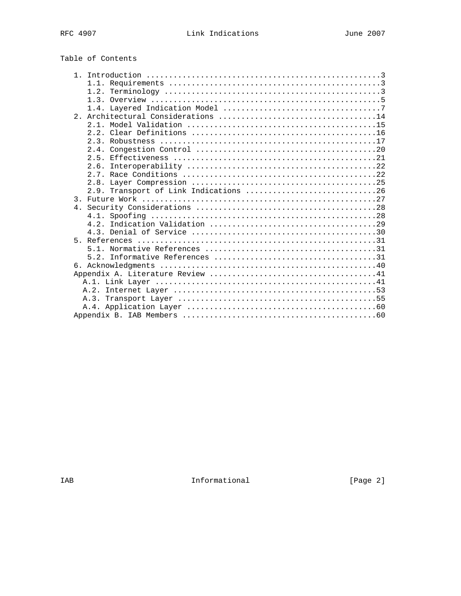| Table of Contents |  |  |  |
|-------------------|--|--|--|
|-------------------|--|--|--|

|               | 1.3. Overview $\ldots$ $\ldots$ $\ldots$ $\ldots$ $\ldots$ $\ldots$ $\ldots$ $\ldots$ $\ldots$ $\ldots$ $\ldots$ |
|---------------|------------------------------------------------------------------------------------------------------------------|
|               |                                                                                                                  |
| 2.1           |                                                                                                                  |
|               |                                                                                                                  |
|               |                                                                                                                  |
|               |                                                                                                                  |
|               |                                                                                                                  |
|               |                                                                                                                  |
|               | 2.6.                                                                                                             |
|               |                                                                                                                  |
|               |                                                                                                                  |
|               | 2.9. Transport of Link Indications 26                                                                            |
| $\mathcal{E}$ |                                                                                                                  |
|               |                                                                                                                  |
|               |                                                                                                                  |
|               |                                                                                                                  |
|               |                                                                                                                  |
|               |                                                                                                                  |
|               |                                                                                                                  |
|               |                                                                                                                  |
|               |                                                                                                                  |
|               |                                                                                                                  |
|               |                                                                                                                  |
|               |                                                                                                                  |
|               |                                                                                                                  |
|               |                                                                                                                  |
|               |                                                                                                                  |
|               |                                                                                                                  |

IAB Informational [Page 2]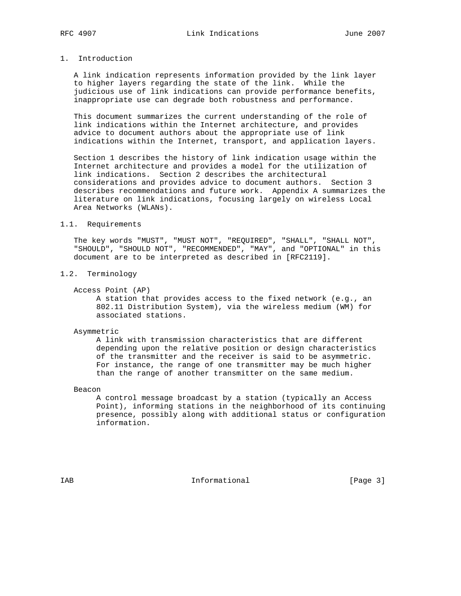## 1. Introduction

 A link indication represents information provided by the link layer to higher layers regarding the state of the link. While the judicious use of link indications can provide performance benefits, inappropriate use can degrade both robustness and performance.

 This document summarizes the current understanding of the role of link indications within the Internet architecture, and provides advice to document authors about the appropriate use of link indications within the Internet, transport, and application layers.

 Section 1 describes the history of link indication usage within the Internet architecture and provides a model for the utilization of link indications. Section 2 describes the architectural considerations and provides advice to document authors. Section 3 describes recommendations and future work. Appendix A summarizes the literature on link indications, focusing largely on wireless Local Area Networks (WLANs).

#### 1.1. Requirements

 The key words "MUST", "MUST NOT", "REQUIRED", "SHALL", "SHALL NOT", "SHOULD", "SHOULD NOT", "RECOMMENDED", "MAY", and "OPTIONAL" in this document are to be interpreted as described in [RFC2119].

1.2. Terminology

Access Point (AP)

 A station that provides access to the fixed network (e.g., an 802.11 Distribution System), via the wireless medium (WM) for associated stations.

#### Asymmetric

 A link with transmission characteristics that are different depending upon the relative position or design characteristics of the transmitter and the receiver is said to be asymmetric. For instance, the range of one transmitter may be much higher than the range of another transmitter on the same medium.

Beacon

 A control message broadcast by a station (typically an Access Point), informing stations in the neighborhood of its continuing presence, possibly along with additional status or configuration information.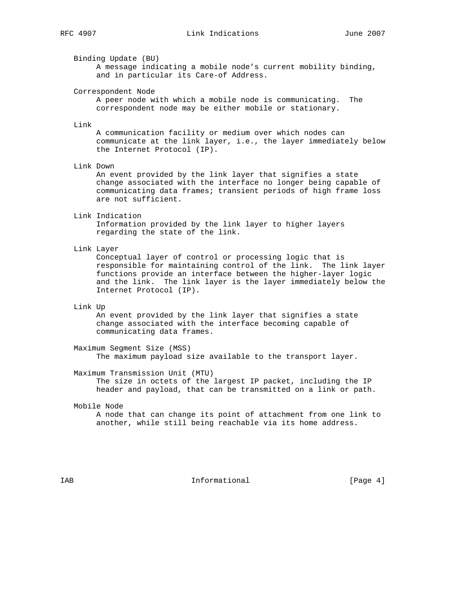Binding Update (BU)

 A message indicating a mobile node's current mobility binding, and in particular its Care-of Address.

Correspondent Node

 A peer node with which a mobile node is communicating. The correspondent node may be either mobile or stationary.

#### Link

 A communication facility or medium over which nodes can communicate at the link layer, i.e., the layer immediately below the Internet Protocol (IP).

#### Link Down

 An event provided by the link layer that signifies a state change associated with the interface no longer being capable of communicating data frames; transient periods of high frame loss are not sufficient.

#### Link Indication

 Information provided by the link layer to higher layers regarding the state of the link.

#### Link Layer

 Conceptual layer of control or processing logic that is responsible for maintaining control of the link. The link layer functions provide an interface between the higher-layer logic and the link. The link layer is the layer immediately below the Internet Protocol (IP).

#### Link Up

 An event provided by the link layer that signifies a state change associated with the interface becoming capable of communicating data frames.

 Maximum Segment Size (MSS) The maximum payload size available to the transport layer.

Maximum Transmission Unit (MTU)

 The size in octets of the largest IP packet, including the IP header and payload, that can be transmitted on a link or path.

#### Mobile Node

 A node that can change its point of attachment from one link to another, while still being reachable via its home address.

IAB 188 and 100 mm informational the state of  $\{Page 4\}$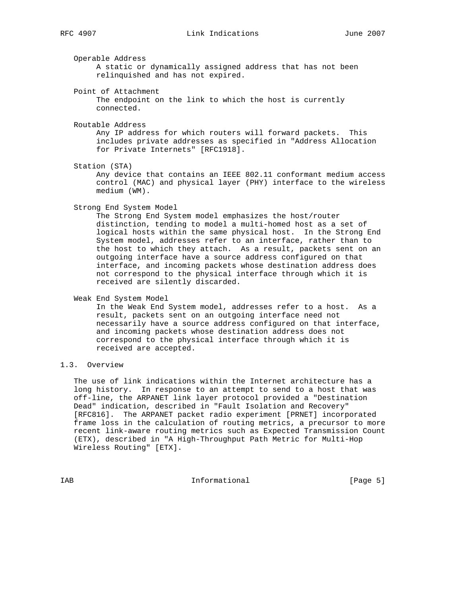Operable Address

 A static or dynamically assigned address that has not been relinquished and has not expired.

Point of Attachment

 The endpoint on the link to which the host is currently connected.

Routable Address

 Any IP address for which routers will forward packets. This includes private addresses as specified in "Address Allocation for Private Internets" [RFC1918].

Station (STA)

 Any device that contains an IEEE 802.11 conformant medium access control (MAC) and physical layer (PHY) interface to the wireless medium (WM).

Strong End System Model

 The Strong End System model emphasizes the host/router distinction, tending to model a multi-homed host as a set of logical hosts within the same physical host. In the Strong End System model, addresses refer to an interface, rather than to the host to which they attach. As a result, packets sent on an outgoing interface have a source address configured on that interface, and incoming packets whose destination address does not correspond to the physical interface through which it is received are silently discarded.

Weak End System Model

 In the Weak End System model, addresses refer to a host. As a result, packets sent on an outgoing interface need not necessarily have a source address configured on that interface, and incoming packets whose destination address does not correspond to the physical interface through which it is received are accepted.

### 1.3. Overview

 The use of link indications within the Internet architecture has a long history. In response to an attempt to send to a host that was off-line, the ARPANET link layer protocol provided a "Destination Dead" indication, described in "Fault Isolation and Recovery" [RFC816]. The ARPANET packet radio experiment [PRNET] incorporated frame loss in the calculation of routing metrics, a precursor to more recent link-aware routing metrics such as Expected Transmission Count (ETX), described in "A High-Throughput Path Metric for Multi-Hop Wireless Routing" [ETX].

IAB 188 CHA Informational The Informational (Page 5)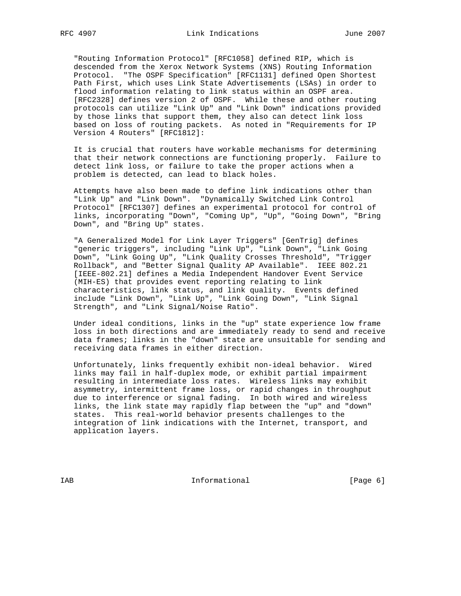"Routing Information Protocol" [RFC1058] defined RIP, which is descended from the Xerox Network Systems (XNS) Routing Information Protocol. "The OSPF Specification" [RFC1131] defined Open Shortest Path First, which uses Link State Advertisements (LSAs) in order to flood information relating to link status within an OSPF area. [RFC2328] defines version 2 of OSPF. While these and other routing protocols can utilize "Link Up" and "Link Down" indications provided by those links that support them, they also can detect link loss based on loss of routing packets. As noted in "Requirements for IP Version 4 Routers" [RFC1812]:

 It is crucial that routers have workable mechanisms for determining that their network connections are functioning properly. Failure to detect link loss, or failure to take the proper actions when a problem is detected, can lead to black holes.

 Attempts have also been made to define link indications other than "Link Up" and "Link Down". "Dynamically Switched Link Control Protocol" [RFC1307] defines an experimental protocol for control of links, incorporating "Down", "Coming Up", "Up", "Going Down", "Bring Down", and "Bring Up" states.

 "A Generalized Model for Link Layer Triggers" [GenTrig] defines "generic triggers", including "Link Up", "Link Down", "Link Going Down", "Link Going Up", "Link Quality Crosses Threshold", "Trigger Rollback", and "Better Signal Quality AP Available". IEEE 802.21 [IEEE-802.21] defines a Media Independent Handover Event Service (MIH-ES) that provides event reporting relating to link characteristics, link status, and link quality. Events defined include "Link Down", "Link Up", "Link Going Down", "Link Signal Strength", and "Link Signal/Noise Ratio".

 Under ideal conditions, links in the "up" state experience low frame loss in both directions and are immediately ready to send and receive data frames; links in the "down" state are unsuitable for sending and receiving data frames in either direction.

 Unfortunately, links frequently exhibit non-ideal behavior. Wired links may fail in half-duplex mode, or exhibit partial impairment resulting in intermediate loss rates. Wireless links may exhibit asymmetry, intermittent frame loss, or rapid changes in throughput due to interference or signal fading. In both wired and wireless links, the link state may rapidly flap between the "up" and "down" states. This real-world behavior presents challenges to the integration of link indications with the Internet, transport, and application layers.

IAB 188 CHA Informational The Informational (Page 6)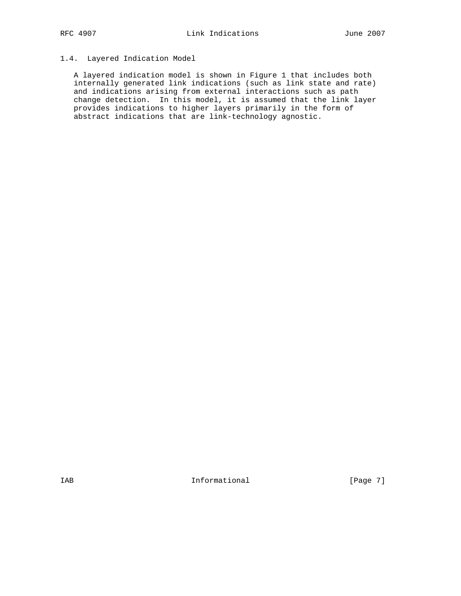## 1.4. Layered Indication Model

 A layered indication model is shown in Figure 1 that includes both internally generated link indications (such as link state and rate) and indications arising from external interactions such as path change detection. In this model, it is assumed that the link layer provides indications to higher layers primarily in the form of abstract indications that are link-technology agnostic.

IAB 188 and 100 mm informational the state of  $[Page 7]$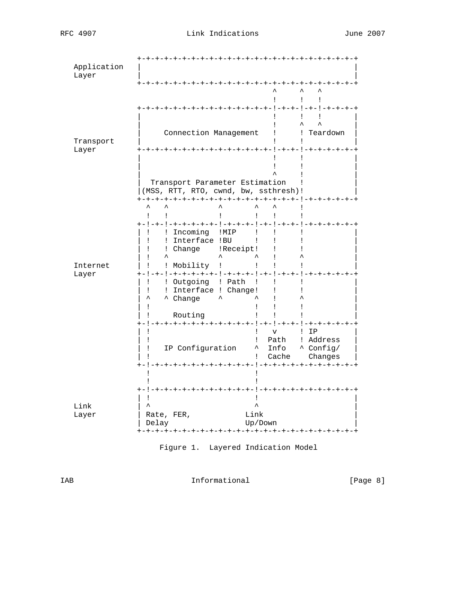| Application<br>Layer |                                                                                                                                                              |                                                                           | -+-+-+-+-+-+-+-+-+-+-+-+-+-+-                        |  |
|----------------------|--------------------------------------------------------------------------------------------------------------------------------------------------------------|---------------------------------------------------------------------------|------------------------------------------------------|--|
|                      |                                                                                                                                                              | т                                                                         | Ţ.<br>$\mathbf{I}$<br>-+-+-+-+-+-!-+-+-!-+-!-+-+-+-+ |  |
| Transport<br>Layer   | Connection Management<br>! Teardown<br>T<br>-+-+-+-+-+-+-+-!-+-+-!-+-+-+                                                                                     |                                                                           |                                                      |  |
|                      | Transport Parameter Estimation<br>(MSS, RTT, RTO, cwnd, bw, ssthresh)!                                                                                       |                                                                           |                                                      |  |
| Internet             | +-+-+-+-+-+-+-+-+-+-+-+-+-+-+-+-+-+-+-<br>Ţ<br>! Incoming !MIP<br>! Interface !BU<br>! Change : !Receipt!<br>$\lambda$<br>ᆺ                                  | Ţ<br>Ţ<br>- Lo<br>$\mathbf{I}$<br>Ţ<br>Ţ<br>L<br>$\mathbf{I}$<br>Ţ        | $-+ - + - + - + - + - +$                             |  |
| Layer                | ! Mobility !<br>+-!-+-!-+-+-+-+-+-+-!-+-+-+-!-+-!-+--!-+-+-+-+-+-+-<br>! Outgoing ! Path<br>! Interface ! Change!<br>$\lambda$<br><b>^</b> Change<br>Routing | $\mathbf{I}$<br>Ţ<br>Ţ<br>L<br>Ţ<br>L<br>Ţ<br>L                           |                                                      |  |
|                      | IP Configuration                                                                                                                                             | $\overline{\mathbf{V}}$<br>Ţ<br>Path<br>L<br>$\sim$<br>Info<br>Cache<br>L | $!$ IP<br>! Address<br>A Config/<br>Changes          |  |
| Link<br>Layer        | -+-+-!-+-+<br>Link<br>Rate, FER,<br>Delay                                                                                                                    | Up/Down                                                                   |                                                      |  |

Figure 1. Layered Indication Model

IAB Informational [Page 8]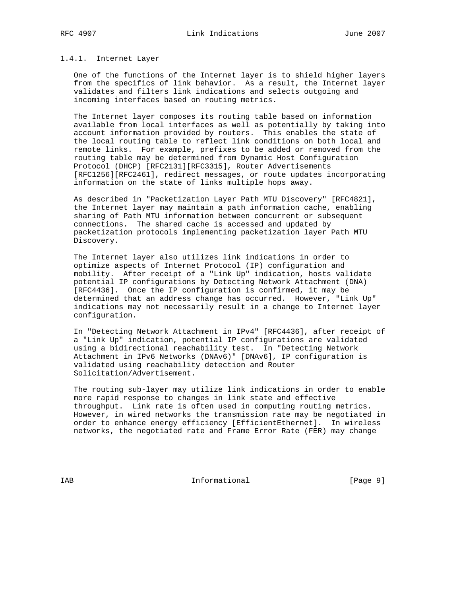#### 1.4.1. Internet Layer

 One of the functions of the Internet layer is to shield higher layers from the specifics of link behavior. As a result, the Internet layer validates and filters link indications and selects outgoing and incoming interfaces based on routing metrics.

 The Internet layer composes its routing table based on information available from local interfaces as well as potentially by taking into account information provided by routers. This enables the state of the local routing table to reflect link conditions on both local and remote links. For example, prefixes to be added or removed from the routing table may be determined from Dynamic Host Configuration Protocol (DHCP) [RFC2131][RFC3315], Router Advertisements [RFC1256][RFC2461], redirect messages, or route updates incorporating information on the state of links multiple hops away.

 As described in "Packetization Layer Path MTU Discovery" [RFC4821], the Internet layer may maintain a path information cache, enabling sharing of Path MTU information between concurrent or subsequent connections. The shared cache is accessed and updated by packetization protocols implementing packetization layer Path MTU Discovery.

 The Internet layer also utilizes link indications in order to optimize aspects of Internet Protocol (IP) configuration and mobility. After receipt of a "Link Up" indication, hosts validate potential IP configurations by Detecting Network Attachment (DNA) [RFC4436]. Once the IP configuration is confirmed, it may be determined that an address change has occurred. However, "Link Up" indications may not necessarily result in a change to Internet layer configuration.

 In "Detecting Network Attachment in IPv4" [RFC4436], after receipt of a "Link Up" indication, potential IP configurations are validated using a bidirectional reachability test. In "Detecting Network Attachment in IPv6 Networks (DNAv6)" [DNAv6], IP configuration is validated using reachability detection and Router Solicitation/Advertisement.

 The routing sub-layer may utilize link indications in order to enable more rapid response to changes in link state and effective throughput. Link rate is often used in computing routing metrics. However, in wired networks the transmission rate may be negotiated in order to enhance energy efficiency [EfficientEthernet]. In wireless networks, the negotiated rate and Frame Error Rate (FER) may change

IAB 188 and 100 mm informational the state of the state of  $[Page 9]$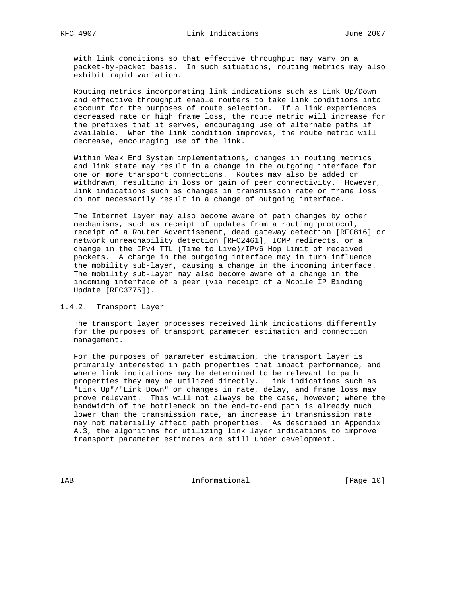with link conditions so that effective throughput may vary on a packet-by-packet basis. In such situations, routing metrics may also exhibit rapid variation.

 Routing metrics incorporating link indications such as Link Up/Down and effective throughput enable routers to take link conditions into account for the purposes of route selection. If a link experiences decreased rate or high frame loss, the route metric will increase for the prefixes that it serves, encouraging use of alternate paths if available. When the link condition improves, the route metric will decrease, encouraging use of the link.

 Within Weak End System implementations, changes in routing metrics and link state may result in a change in the outgoing interface for one or more transport connections. Routes may also be added or withdrawn, resulting in loss or gain of peer connectivity. However, link indications such as changes in transmission rate or frame loss do not necessarily result in a change of outgoing interface.

 The Internet layer may also become aware of path changes by other mechanisms, such as receipt of updates from a routing protocol, receipt of a Router Advertisement, dead gateway detection [RFC816] or network unreachability detection [RFC2461], ICMP redirects, or a change in the IPv4 TTL (Time to Live)/IPv6 Hop Limit of received packets. A change in the outgoing interface may in turn influence the mobility sub-layer, causing a change in the incoming interface. The mobility sub-layer may also become aware of a change in the incoming interface of a peer (via receipt of a Mobile IP Binding Update [RFC3775]).

#### 1.4.2. Transport Layer

 The transport layer processes received link indications differently for the purposes of transport parameter estimation and connection management.

 For the purposes of parameter estimation, the transport layer is primarily interested in path properties that impact performance, and where link indications may be determined to be relevant to path properties they may be utilized directly. Link indications such as "Link Up"/"Link Down" or changes in rate, delay, and frame loss may prove relevant. This will not always be the case, however; where the bandwidth of the bottleneck on the end-to-end path is already much lower than the transmission rate, an increase in transmission rate may not materially affect path properties. As described in Appendix A.3, the algorithms for utilizing link layer indications to improve transport parameter estimates are still under development.

IAB Informational [Page 10]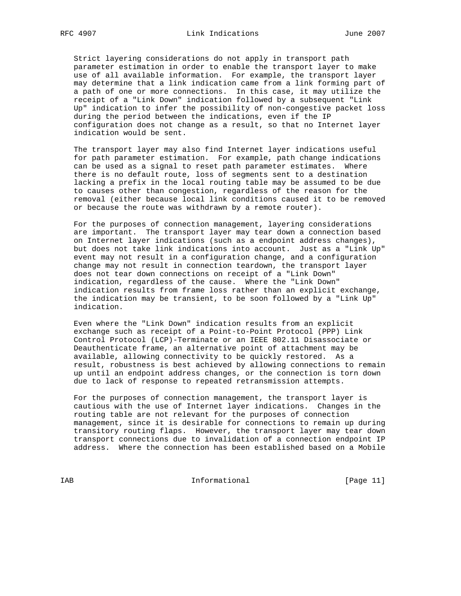Strict layering considerations do not apply in transport path parameter estimation in order to enable the transport layer to make use of all available information. For example, the transport layer may determine that a link indication came from a link forming part of a path of one or more connections. In this case, it may utilize the receipt of a "Link Down" indication followed by a subsequent "Link Up" indication to infer the possibility of non-congestive packet loss during the period between the indications, even if the IP configuration does not change as a result, so that no Internet layer indication would be sent.

 The transport layer may also find Internet layer indications useful for path parameter estimation. For example, path change indications can be used as a signal to reset path parameter estimates. Where there is no default route, loss of segments sent to a destination lacking a prefix in the local routing table may be assumed to be due to causes other than congestion, regardless of the reason for the removal (either because local link conditions caused it to be removed or because the route was withdrawn by a remote router).

 For the purposes of connection management, layering considerations are important. The transport layer may tear down a connection based on Internet layer indications (such as a endpoint address changes), but does not take link indications into account. Just as a "Link Up" event may not result in a configuration change, and a configuration change may not result in connection teardown, the transport layer does not tear down connections on receipt of a "Link Down" indication, regardless of the cause. Where the "Link Down" indication results from frame loss rather than an explicit exchange, the indication may be transient, to be soon followed by a "Link Up" indication.

 Even where the "Link Down" indication results from an explicit exchange such as receipt of a Point-to-Point Protocol (PPP) Link Control Protocol (LCP)-Terminate or an IEEE 802.11 Disassociate or Deauthenticate frame, an alternative point of attachment may be available, allowing connectivity to be quickly restored. As a result, robustness is best achieved by allowing connections to remain up until an endpoint address changes, or the connection is torn down due to lack of response to repeated retransmission attempts.

 For the purposes of connection management, the transport layer is cautious with the use of Internet layer indications. Changes in the routing table are not relevant for the purposes of connection management, since it is desirable for connections to remain up during transitory routing flaps. However, the transport layer may tear down transport connections due to invalidation of a connection endpoint IP address. Where the connection has been established based on a Mobile

IAB Informational [Page 11]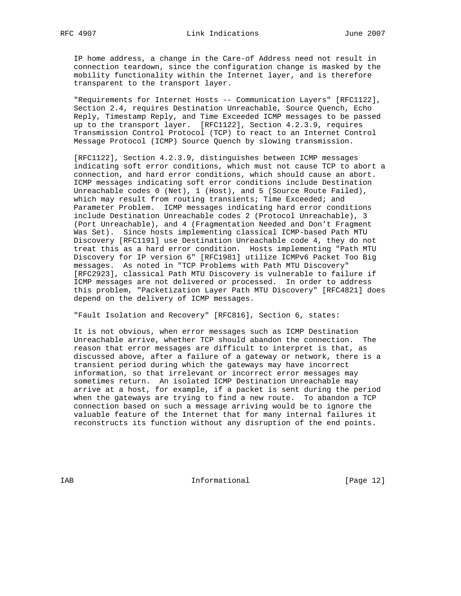IP home address, a change in the Care-of Address need not result in connection teardown, since the configuration change is masked by the mobility functionality within the Internet layer, and is therefore transparent to the transport layer.

 "Requirements for Internet Hosts -- Communication Layers" [RFC1122], Section 2.4, requires Destination Unreachable, Source Quench, Echo Reply, Timestamp Reply, and Time Exceeded ICMP messages to be passed up to the transport layer. [RFC1122], Section 4.2.3.9, requires Transmission Control Protocol (TCP) to react to an Internet Control Message Protocol (ICMP) Source Quench by slowing transmission.

 [RFC1122], Section 4.2.3.9, distinguishes between ICMP messages indicating soft error conditions, which must not cause TCP to abort a connection, and hard error conditions, which should cause an abort. ICMP messages indicating soft error conditions include Destination Unreachable codes 0 (Net), 1 (Host), and 5 (Source Route Failed), which may result from routing transients; Time Exceeded; and Parameter Problem. ICMP messages indicating hard error conditions include Destination Unreachable codes 2 (Protocol Unreachable), 3 (Port Unreachable), and 4 (Fragmentation Needed and Don't Fragment Was Set). Since hosts implementing classical ICMP-based Path MTU Discovery [RFC1191] use Destination Unreachable code 4, they do not treat this as a hard error condition. Hosts implementing "Path MTU Discovery for IP version 6" [RFC1981] utilize ICMPv6 Packet Too Big messages. As noted in "TCP Problems with Path MTU Discovery" [RFC2923], classical Path MTU Discovery is vulnerable to failure if ICMP messages are not delivered or processed. In order to address this problem, "Packetization Layer Path MTU Discovery" [RFC4821] does depend on the delivery of ICMP messages.

"Fault Isolation and Recovery" [RFC816], Section 6, states:

 It is not obvious, when error messages such as ICMP Destination Unreachable arrive, whether TCP should abandon the connection. The reason that error messages are difficult to interpret is that, as discussed above, after a failure of a gateway or network, there is a transient period during which the gateways may have incorrect information, so that irrelevant or incorrect error messages may sometimes return. An isolated ICMP Destination Unreachable may arrive at a host, for example, if a packet is sent during the period when the gateways are trying to find a new route. To abandon a TCP connection based on such a message arriving would be to ignore the valuable feature of the Internet that for many internal failures it reconstructs its function without any disruption of the end points.

IAB 188 Informational [Page 12]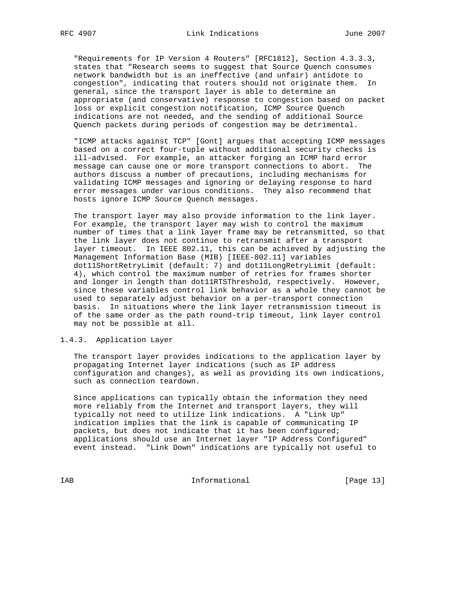"Requirements for IP Version 4 Routers" [RFC1812], Section 4.3.3.3, states that "Research seems to suggest that Source Quench consumes network bandwidth but is an ineffective (and unfair) antidote to congestion", indicating that routers should not originate them. In general, since the transport layer is able to determine an appropriate (and conservative) response to congestion based on packet loss or explicit congestion notification, ICMP Source Quench indications are not needed, and the sending of additional Source Quench packets during periods of congestion may be detrimental.

 "ICMP attacks against TCP" [Gont] argues that accepting ICMP messages based on a correct four-tuple without additional security checks is ill-advised. For example, an attacker forging an ICMP hard error message can cause one or more transport connections to abort. The authors discuss a number of precautions, including mechanisms for validating ICMP messages and ignoring or delaying response to hard error messages under various conditions. They also recommend that hosts ignore ICMP Source Quench messages.

 The transport layer may also provide information to the link layer. For example, the transport layer may wish to control the maximum number of times that a link layer frame may be retransmitted, so that the link layer does not continue to retransmit after a transport layer timeout. In IEEE 802.11, this can be achieved by adjusting the Management Information Base (MIB) [IEEE-802.11] variables dot11ShortRetryLimit (default: 7) and dot11LongRetryLimit (default: 4), which control the maximum number of retries for frames shorter and longer in length than dot11RTSThreshold, respectively. However, since these variables control link behavior as a whole they cannot be used to separately adjust behavior on a per-transport connection basis. In situations where the link layer retransmission timeout is of the same order as the path round-trip timeout, link layer control may not be possible at all.

#### 1.4.3. Application Layer

 The transport layer provides indications to the application layer by propagating Internet layer indications (such as IP address configuration and changes), as well as providing its own indications, such as connection teardown.

 Since applications can typically obtain the information they need more reliably from the Internet and transport layers, they will typically not need to utilize link indications. A "Link Up" indication implies that the link is capable of communicating IP packets, but does not indicate that it has been configured; applications should use an Internet layer "IP Address Configured" event instead. "Link Down" indications are typically not useful to

IAB Informational [Page 13]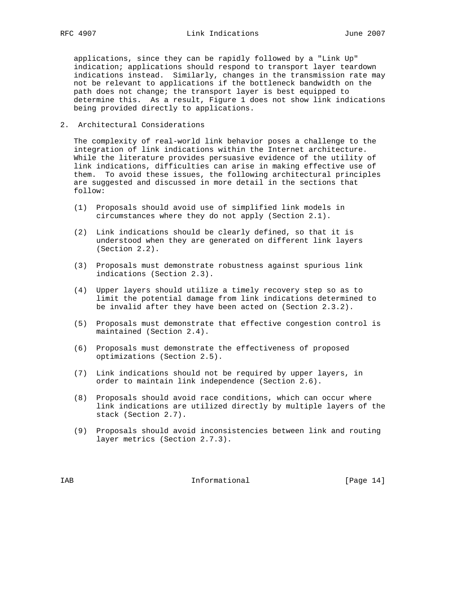applications, since they can be rapidly followed by a "Link Up" indication; applications should respond to transport layer teardown indications instead. Similarly, changes in the transmission rate may not be relevant to applications if the bottleneck bandwidth on the path does not change; the transport layer is best equipped to determine this. As a result, Figure 1 does not show link indications being provided directly to applications.

2. Architectural Considerations

 The complexity of real-world link behavior poses a challenge to the integration of link indications within the Internet architecture. While the literature provides persuasive evidence of the utility of link indications, difficulties can arise in making effective use of them. To avoid these issues, the following architectural principles are suggested and discussed in more detail in the sections that follow:

- (1) Proposals should avoid use of simplified link models in circumstances where they do not apply (Section 2.1).
- (2) Link indications should be clearly defined, so that it is understood when they are generated on different link layers (Section 2.2).
- (3) Proposals must demonstrate robustness against spurious link indications (Section 2.3).
- (4) Upper layers should utilize a timely recovery step so as to limit the potential damage from link indications determined to be invalid after they have been acted on (Section 2.3.2).
- (5) Proposals must demonstrate that effective congestion control is maintained (Section 2.4).
- (6) Proposals must demonstrate the effectiveness of proposed optimizations (Section 2.5).
- (7) Link indications should not be required by upper layers, in order to maintain link independence (Section 2.6).
- (8) Proposals should avoid race conditions, which can occur where link indications are utilized directly by multiple layers of the stack (Section 2.7).
- (9) Proposals should avoid inconsistencies between link and routing layer metrics (Section 2.7.3).

IAB 188 Informational [Page 14]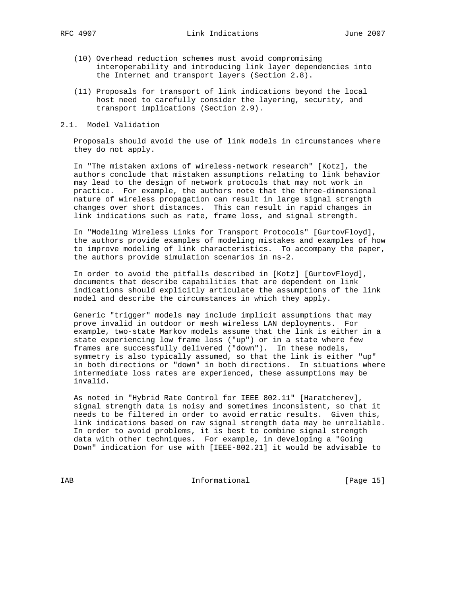- (10) Overhead reduction schemes must avoid compromising interoperability and introducing link layer dependencies into the Internet and transport layers (Section 2.8).
- (11) Proposals for transport of link indications beyond the local host need to carefully consider the layering, security, and transport implications (Section 2.9).

#### 2.1. Model Validation

 Proposals should avoid the use of link models in circumstances where they do not apply.

 In "The mistaken axioms of wireless-network research" [Kotz], the authors conclude that mistaken assumptions relating to link behavior may lead to the design of network protocols that may not work in practice. For example, the authors note that the three-dimensional nature of wireless propagation can result in large signal strength changes over short distances. This can result in rapid changes in link indications such as rate, frame loss, and signal strength.

 In "Modeling Wireless Links for Transport Protocols" [GurtovFloyd], the authors provide examples of modeling mistakes and examples of how to improve modeling of link characteristics. To accompany the paper, the authors provide simulation scenarios in ns-2.

 In order to avoid the pitfalls described in [Kotz] [GurtovFloyd], documents that describe capabilities that are dependent on link indications should explicitly articulate the assumptions of the link model and describe the circumstances in which they apply.

 Generic "trigger" models may include implicit assumptions that may prove invalid in outdoor or mesh wireless LAN deployments. For example, two-state Markov models assume that the link is either in a state experiencing low frame loss ("up") or in a state where few frames are successfully delivered ("down"). In these models, symmetry is also typically assumed, so that the link is either "up" in both directions or "down" in both directions. In situations where intermediate loss rates are experienced, these assumptions may be invalid.

 As noted in "Hybrid Rate Control for IEEE 802.11" [Haratcherev], signal strength data is noisy and sometimes inconsistent, so that it needs to be filtered in order to avoid erratic results. Given this, link indications based on raw signal strength data may be unreliable. In order to avoid problems, it is best to combine signal strength data with other techniques. For example, in developing a "Going Down" indication for use with [IEEE-802.21] it would be advisable to

IAB Informational [Page 15]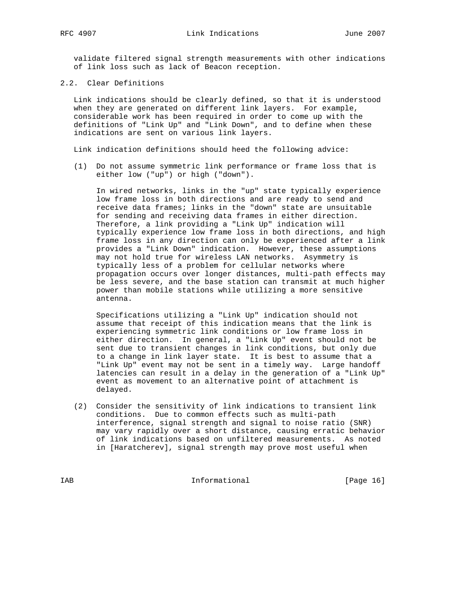validate filtered signal strength measurements with other indications of link loss such as lack of Beacon reception.

2.2. Clear Definitions

 Link indications should be clearly defined, so that it is understood when they are generated on different link layers. For example, considerable work has been required in order to come up with the definitions of "Link Up" and "Link Down", and to define when these indications are sent on various link layers.

Link indication definitions should heed the following advice:

 (1) Do not assume symmetric link performance or frame loss that is either low ("up") or high ("down").

 In wired networks, links in the "up" state typically experience low frame loss in both directions and are ready to send and receive data frames; links in the "down" state are unsuitable for sending and receiving data frames in either direction. Therefore, a link providing a "Link Up" indication will typically experience low frame loss in both directions, and high frame loss in any direction can only be experienced after a link provides a "Link Down" indication. However, these assumptions may not hold true for wireless LAN networks. Asymmetry is typically less of a problem for cellular networks where propagation occurs over longer distances, multi-path effects may be less severe, and the base station can transmit at much higher power than mobile stations while utilizing a more sensitive antenna.

 Specifications utilizing a "Link Up" indication should not assume that receipt of this indication means that the link is experiencing symmetric link conditions or low frame loss in either direction. In general, a "Link Up" event should not be sent due to transient changes in link conditions, but only due to a change in link layer state. It is best to assume that a "Link Up" event may not be sent in a timely way. Large handoff latencies can result in a delay in the generation of a "Link Up" event as movement to an alternative point of attachment is delayed.

 (2) Consider the sensitivity of link indications to transient link conditions. Due to common effects such as multi-path interference, signal strength and signal to noise ratio (SNR) may vary rapidly over a short distance, causing erratic behavior of link indications based on unfiltered measurements. As noted in [Haratcherev], signal strength may prove most useful when

IAB Informational [Page 16]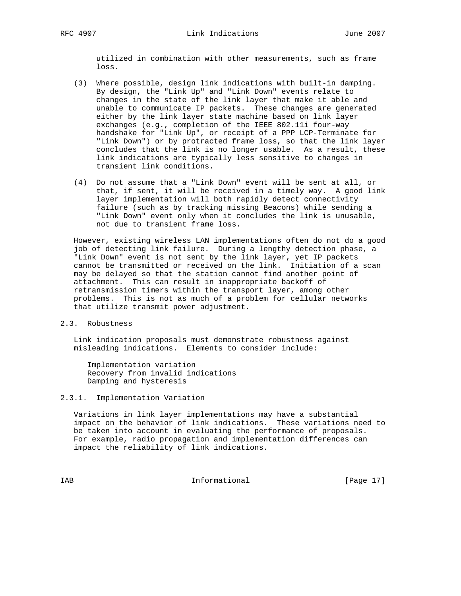utilized in combination with other measurements, such as frame loss.

- (3) Where possible, design link indications with built-in damping. By design, the "Link Up" and "Link Down" events relate to changes in the state of the link layer that make it able and unable to communicate IP packets. These changes are generated either by the link layer state machine based on link layer exchanges (e.g., completion of the IEEE 802.11i four-way handshake for "Link Up", or receipt of a PPP LCP-Terminate for "Link Down") or by protracted frame loss, so that the link layer concludes that the link is no longer usable. As a result, these link indications are typically less sensitive to changes in transient link conditions.
- (4) Do not assume that a "Link Down" event will be sent at all, or that, if sent, it will be received in a timely way. A good link layer implementation will both rapidly detect connectivity failure (such as by tracking missing Beacons) while sending a "Link Down" event only when it concludes the link is unusable, not due to transient frame loss.

 However, existing wireless LAN implementations often do not do a good job of detecting link failure. During a lengthy detection phase, a "Link Down" event is not sent by the link layer, yet IP packets cannot be transmitted or received on the link. Initiation of a scan may be delayed so that the station cannot find another point of attachment. This can result in inappropriate backoff of retransmission timers within the transport layer, among other problems. This is not as much of a problem for cellular networks that utilize transmit power adjustment.

#### 2.3. Robustness

 Link indication proposals must demonstrate robustness against misleading indications. Elements to consider include:

 Implementation variation Recovery from invalid indications Damping and hysteresis

#### 2.3.1. Implementation Variation

 Variations in link layer implementations may have a substantial impact on the behavior of link indications. These variations need to be taken into account in evaluating the performance of proposals. For example, radio propagation and implementation differences can impact the reliability of link indications.

IAB Informational [Page 17]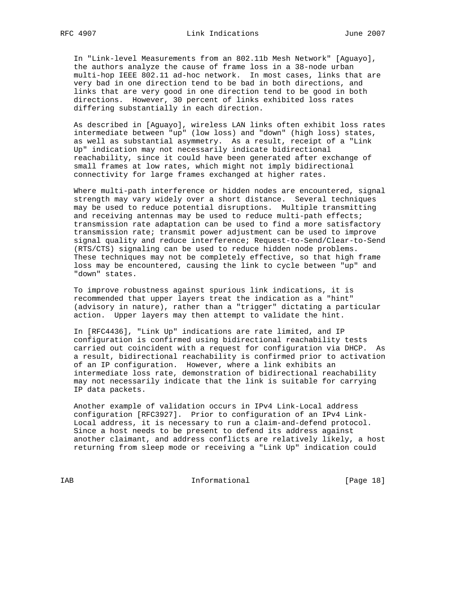In "Link-level Measurements from an 802.11b Mesh Network" [Aguayo], the authors analyze the cause of frame loss in a 38-node urban multi-hop IEEE 802.11 ad-hoc network. In most cases, links that are very bad in one direction tend to be bad in both directions, and links that are very good in one direction tend to be good in both directions. However, 30 percent of links exhibited loss rates differing substantially in each direction.

 As described in [Aguayo], wireless LAN links often exhibit loss rates intermediate between "up" (low loss) and "down" (high loss) states, as well as substantial asymmetry. As a result, receipt of a "Link Up" indication may not necessarily indicate bidirectional reachability, since it could have been generated after exchange of small frames at low rates, which might not imply bidirectional connectivity for large frames exchanged at higher rates.

 Where multi-path interference or hidden nodes are encountered, signal strength may vary widely over a short distance. Several techniques may be used to reduce potential disruptions. Multiple transmitting and receiving antennas may be used to reduce multi-path effects; transmission rate adaptation can be used to find a more satisfactory transmission rate; transmit power adjustment can be used to improve signal quality and reduce interference; Request-to-Send/Clear-to-Send (RTS/CTS) signaling can be used to reduce hidden node problems. These techniques may not be completely effective, so that high frame loss may be encountered, causing the link to cycle between "up" and "down" states.

 To improve robustness against spurious link indications, it is recommended that upper layers treat the indication as a "hint" (advisory in nature), rather than a "trigger" dictating a particular action. Upper layers may then attempt to validate the hint.

 In [RFC4436], "Link Up" indications are rate limited, and IP configuration is confirmed using bidirectional reachability tests carried out coincident with a request for configuration via DHCP. As a result, bidirectional reachability is confirmed prior to activation of an IP configuration. However, where a link exhibits an intermediate loss rate, demonstration of bidirectional reachability may not necessarily indicate that the link is suitable for carrying IP data packets.

 Another example of validation occurs in IPv4 Link-Local address configuration [RFC3927]. Prior to configuration of an IPv4 Link- Local address, it is necessary to run a claim-and-defend protocol. Since a host needs to be present to defend its address against another claimant, and address conflicts are relatively likely, a host returning from sleep mode or receiving a "Link Up" indication could

IAB Informational [Page 18]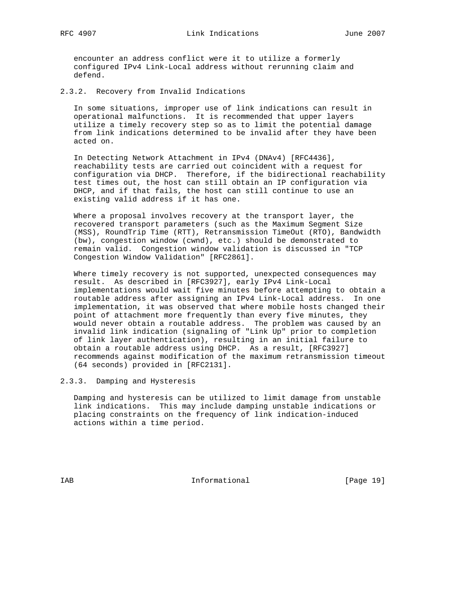encounter an address conflict were it to utilize a formerly configured IPv4 Link-Local address without rerunning claim and defend.

2.3.2. Recovery from Invalid Indications

 In some situations, improper use of link indications can result in operational malfunctions. It is recommended that upper layers utilize a timely recovery step so as to limit the potential damage from link indications determined to be invalid after they have been acted on.

 In Detecting Network Attachment in IPv4 (DNAv4) [RFC4436], reachability tests are carried out coincident with a request for configuration via DHCP. Therefore, if the bidirectional reachability test times out, the host can still obtain an IP configuration via DHCP, and if that fails, the host can still continue to use an existing valid address if it has one.

 Where a proposal involves recovery at the transport layer, the recovered transport parameters (such as the Maximum Segment Size (MSS), RoundTrip Time (RTT), Retransmission TimeOut (RTO), Bandwidth (bw), congestion window (cwnd), etc.) should be demonstrated to remain valid. Congestion window validation is discussed in "TCP Congestion Window Validation" [RFC2861].

 Where timely recovery is not supported, unexpected consequences may result. As described in [RFC3927], early IPv4 Link-Local implementations would wait five minutes before attempting to obtain a routable address after assigning an IPv4 Link-Local address. In one implementation, it was observed that where mobile hosts changed their point of attachment more frequently than every five minutes, they would never obtain a routable address. The problem was caused by an invalid link indication (signaling of "Link Up" prior to completion of link layer authentication), resulting in an initial failure to obtain a routable address using DHCP. As a result, [RFC3927] recommends against modification of the maximum retransmission timeout (64 seconds) provided in [RFC2131].

2.3.3. Damping and Hysteresis

 Damping and hysteresis can be utilized to limit damage from unstable link indications. This may include damping unstable indications or placing constraints on the frequency of link indication-induced actions within a time period.

IAB 188 Informational [Page 19]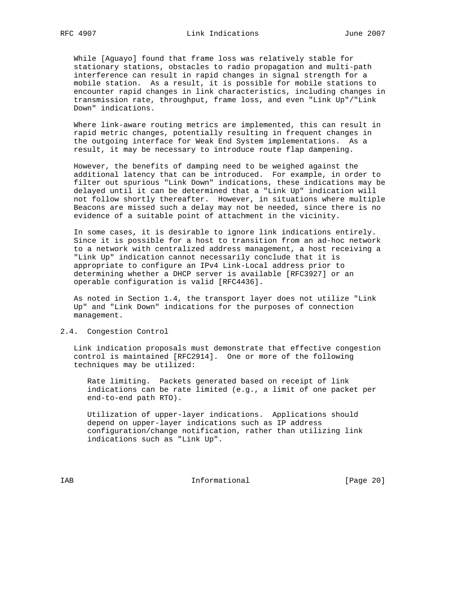While [Aguayo] found that frame loss was relatively stable for stationary stations, obstacles to radio propagation and multi-path interference can result in rapid changes in signal strength for a mobile station. As a result, it is possible for mobile stations to encounter rapid changes in link characteristics, including changes in transmission rate, throughput, frame loss, and even "Link Up"/"Link Down" indications.

 Where link-aware routing metrics are implemented, this can result in rapid metric changes, potentially resulting in frequent changes in the outgoing interface for Weak End System implementations. As a result, it may be necessary to introduce route flap dampening.

 However, the benefits of damping need to be weighed against the additional latency that can be introduced. For example, in order to filter out spurious "Link Down" indications, these indications may be delayed until it can be determined that a "Link Up" indication will not follow shortly thereafter. However, in situations where multiple Beacons are missed such a delay may not be needed, since there is no evidence of a suitable point of attachment in the vicinity.

 In some cases, it is desirable to ignore link indications entirely. Since it is possible for a host to transition from an ad-hoc network to a network with centralized address management, a host receiving a "Link Up" indication cannot necessarily conclude that it is appropriate to configure an IPv4 Link-Local address prior to determining whether a DHCP server is available [RFC3927] or an operable configuration is valid [RFC4436].

 As noted in Section 1.4, the transport layer does not utilize "Link Up" and "Link Down" indications for the purposes of connection management.

#### 2.4. Congestion Control

 Link indication proposals must demonstrate that effective congestion control is maintained [RFC2914]. One or more of the following techniques may be utilized:

 Rate limiting. Packets generated based on receipt of link indications can be rate limited (e.g., a limit of one packet per end-to-end path RTO).

 Utilization of upper-layer indications. Applications should depend on upper-layer indications such as IP address configuration/change notification, rather than utilizing link indications such as "Link Up".

IAB Informational [Page 20]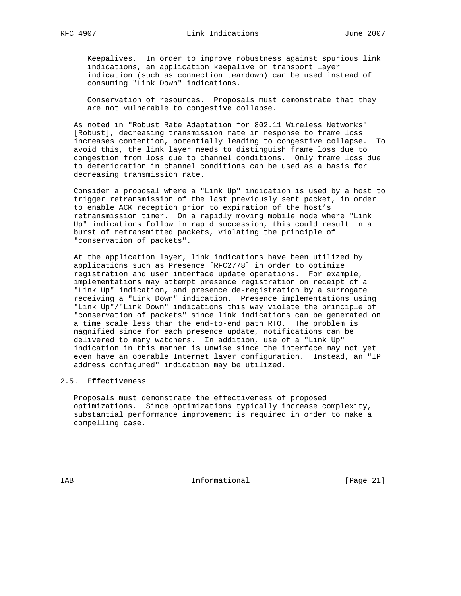Keepalives. In order to improve robustness against spurious link indications, an application keepalive or transport layer indication (such as connection teardown) can be used instead of consuming "Link Down" indications.

 Conservation of resources. Proposals must demonstrate that they are not vulnerable to congestive collapse.

 As noted in "Robust Rate Adaptation for 802.11 Wireless Networks" [Robust], decreasing transmission rate in response to frame loss increases contention, potentially leading to congestive collapse. To avoid this, the link layer needs to distinguish frame loss due to congestion from loss due to channel conditions. Only frame loss due to deterioration in channel conditions can be used as a basis for decreasing transmission rate.

 Consider a proposal where a "Link Up" indication is used by a host to trigger retransmission of the last previously sent packet, in order to enable ACK reception prior to expiration of the host's retransmission timer. On a rapidly moving mobile node where "Link Up" indications follow in rapid succession, this could result in a burst of retransmitted packets, violating the principle of "conservation of packets".

 At the application layer, link indications have been utilized by applications such as Presence [RFC2778] in order to optimize registration and user interface update operations. For example, implementations may attempt presence registration on receipt of a "Link Up" indication, and presence de-registration by a surrogate receiving a "Link Down" indication. Presence implementations using "Link Up"/"Link Down" indications this way violate the principle of "conservation of packets" since link indications can be generated on a time scale less than the end-to-end path RTO. The problem is magnified since for each presence update, notifications can be delivered to many watchers. In addition, use of a "Link Up" indication in this manner is unwise since the interface may not yet even have an operable Internet layer configuration. Instead, an "IP address configured" indication may be utilized.

#### 2.5. Effectiveness

 Proposals must demonstrate the effectiveness of proposed optimizations. Since optimizations typically increase complexity, substantial performance improvement is required in order to make a compelling case.

IAB 188 Informational [Page 21]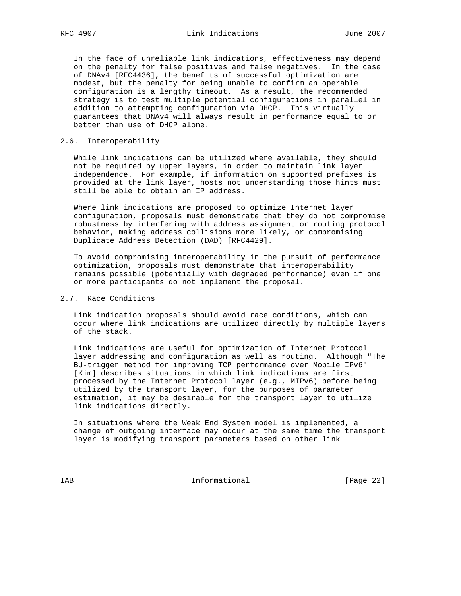In the face of unreliable link indications, effectiveness may depend on the penalty for false positives and false negatives. In the case of DNAv4 [RFC4436], the benefits of successful optimization are modest, but the penalty for being unable to confirm an operable configuration is a lengthy timeout. As a result, the recommended strategy is to test multiple potential configurations in parallel in addition to attempting configuration via DHCP. This virtually guarantees that DNAv4 will always result in performance equal to or better than use of DHCP alone.

#### 2.6. Interoperability

 While link indications can be utilized where available, they should not be required by upper layers, in order to maintain link layer independence. For example, if information on supported prefixes is provided at the link layer, hosts not understanding those hints must still be able to obtain an IP address.

 Where link indications are proposed to optimize Internet layer configuration, proposals must demonstrate that they do not compromise robustness by interfering with address assignment or routing protocol behavior, making address collisions more likely, or compromising Duplicate Address Detection (DAD) [RFC4429].

 To avoid compromising interoperability in the pursuit of performance optimization, proposals must demonstrate that interoperability remains possible (potentially with degraded performance) even if one or more participants do not implement the proposal.

#### 2.7. Race Conditions

 Link indication proposals should avoid race conditions, which can occur where link indications are utilized directly by multiple layers of the stack.

 Link indications are useful for optimization of Internet Protocol layer addressing and configuration as well as routing. Although "The BU-trigger method for improving TCP performance over Mobile IPv6" [Kim] describes situations in which link indications are first processed by the Internet Protocol layer (e.g., MIPv6) before being utilized by the transport layer, for the purposes of parameter estimation, it may be desirable for the transport layer to utilize link indications directly.

 In situations where the Weak End System model is implemented, a change of outgoing interface may occur at the same time the transport layer is modifying transport parameters based on other link

IAB Informational [Page 22]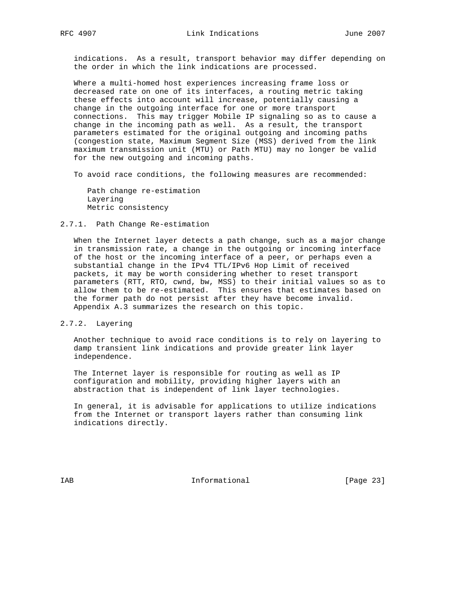indications. As a result, transport behavior may differ depending on the order in which the link indications are processed.

 Where a multi-homed host experiences increasing frame loss or decreased rate on one of its interfaces, a routing metric taking these effects into account will increase, potentially causing a change in the outgoing interface for one or more transport connections. This may trigger Mobile IP signaling so as to cause a change in the incoming path as well. As a result, the transport parameters estimated for the original outgoing and incoming paths (congestion state, Maximum Segment Size (MSS) derived from the link maximum transmission unit (MTU) or Path MTU) may no longer be valid for the new outgoing and incoming paths.

To avoid race conditions, the following measures are recommended:

 Path change re-estimation Layering Metric consistency

#### 2.7.1. Path Change Re-estimation

 When the Internet layer detects a path change, such as a major change in transmission rate, a change in the outgoing or incoming interface of the host or the incoming interface of a peer, or perhaps even a substantial change in the IPv4 TTL/IPv6 Hop Limit of received packets, it may be worth considering whether to reset transport parameters (RTT, RTO, cwnd, bw, MSS) to their initial values so as to allow them to be re-estimated. This ensures that estimates based on the former path do not persist after they have become invalid. Appendix A.3 summarizes the research on this topic.

#### 2.7.2. Layering

 Another technique to avoid race conditions is to rely on layering to damp transient link indications and provide greater link layer independence.

 The Internet layer is responsible for routing as well as IP configuration and mobility, providing higher layers with an abstraction that is independent of link layer technologies.

 In general, it is advisable for applications to utilize indications from the Internet or transport layers rather than consuming link indications directly.

IAB 18 Informational [Page 23]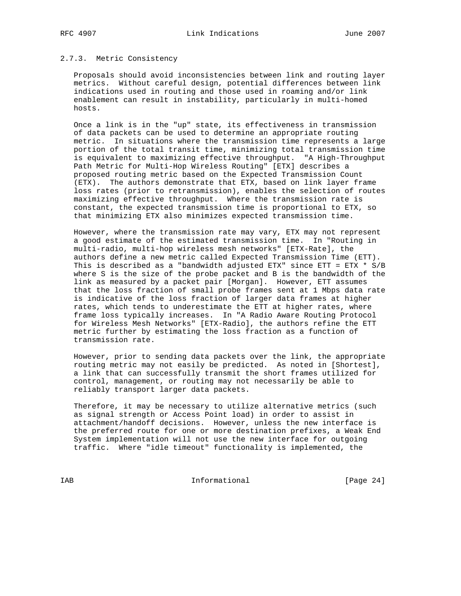## 2.7.3. Metric Consistency

 Proposals should avoid inconsistencies between link and routing layer metrics. Without careful design, potential differences between link indications used in routing and those used in roaming and/or link enablement can result in instability, particularly in multi-homed hosts.

 Once a link is in the "up" state, its effectiveness in transmission of data packets can be used to determine an appropriate routing metric. In situations where the transmission time represents a large portion of the total transit time, minimizing total transmission time is equivalent to maximizing effective throughput. "A High-Throughput Path Metric for Multi-Hop Wireless Routing" [ETX] describes a proposed routing metric based on the Expected Transmission Count (ETX). The authors demonstrate that ETX, based on link layer frame loss rates (prior to retransmission), enables the selection of routes maximizing effective throughput. Where the transmission rate is constant, the expected transmission time is proportional to ETX, so that minimizing ETX also minimizes expected transmission time.

 However, where the transmission rate may vary, ETX may not represent a good estimate of the estimated transmission time. In "Routing in multi-radio, multi-hop wireless mesh networks" [ETX-Rate], the authors define a new metric called Expected Transmission Time (ETT). This is described as a "bandwidth adjusted ETX" since ETT = ETX \* S/B where S is the size of the probe packet and B is the bandwidth of the link as measured by a packet pair [Morgan]. However, ETT assumes that the loss fraction of small probe frames sent at 1 Mbps data rate is indicative of the loss fraction of larger data frames at higher rates, which tends to underestimate the ETT at higher rates, where frame loss typically increases. In "A Radio Aware Routing Protocol for Wireless Mesh Networks" [ETX-Radio], the authors refine the ETT metric further by estimating the loss fraction as a function of transmission rate.

 However, prior to sending data packets over the link, the appropriate routing metric may not easily be predicted. As noted in [Shortest], a link that can successfully transmit the short frames utilized for control, management, or routing may not necessarily be able to reliably transport larger data packets.

 Therefore, it may be necessary to utilize alternative metrics (such as signal strength or Access Point load) in order to assist in attachment/handoff decisions. However, unless the new interface is the preferred route for one or more destination prefixes, a Weak End System implementation will not use the new interface for outgoing traffic. Where "idle timeout" functionality is implemented, the

IAB Informational [Page 24]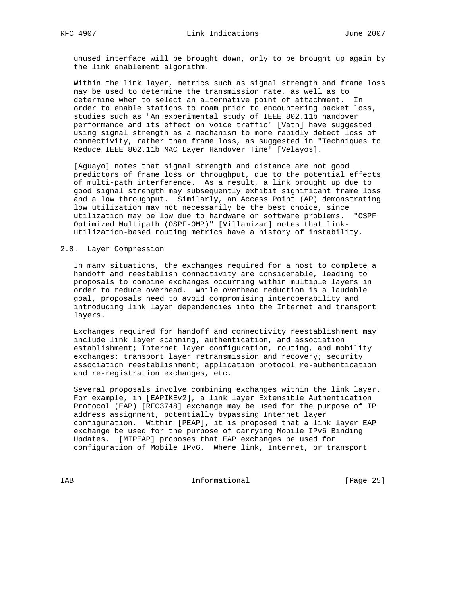unused interface will be brought down, only to be brought up again by the link enablement algorithm.

 Within the link layer, metrics such as signal strength and frame loss may be used to determine the transmission rate, as well as to determine when to select an alternative point of attachment. In order to enable stations to roam prior to encountering packet loss, studies such as "An experimental study of IEEE 802.11b handover performance and its effect on voice traffic" [Vatn] have suggested using signal strength as a mechanism to more rapidly detect loss of connectivity, rather than frame loss, as suggested in "Techniques to Reduce IEEE 802.11b MAC Layer Handover Time" [Velayos].

 [Aguayo] notes that signal strength and distance are not good predictors of frame loss or throughput, due to the potential effects of multi-path interference. As a result, a link brought up due to good signal strength may subsequently exhibit significant frame loss and a low throughput. Similarly, an Access Point (AP) demonstrating low utilization may not necessarily be the best choice, since utilization may be low due to hardware or software problems. "OSPF Optimized Multipath (OSPF-OMP)" [Villamizar] notes that link utilization-based routing metrics have a history of instability.

#### 2.8. Layer Compression

 In many situations, the exchanges required for a host to complete a handoff and reestablish connectivity are considerable, leading to proposals to combine exchanges occurring within multiple layers in order to reduce overhead. While overhead reduction is a laudable goal, proposals need to avoid compromising interoperability and introducing link layer dependencies into the Internet and transport layers.

 Exchanges required for handoff and connectivity reestablishment may include link layer scanning, authentication, and association establishment; Internet layer configuration, routing, and mobility exchanges; transport layer retransmission and recovery; security association reestablishment; application protocol re-authentication and re-registration exchanges, etc.

 Several proposals involve combining exchanges within the link layer. For example, in [EAPIKEv2], a link layer Extensible Authentication Protocol (EAP) [RFC3748] exchange may be used for the purpose of IP address assignment, potentially bypassing Internet layer configuration. Within [PEAP], it is proposed that a link layer EAP exchange be used for the purpose of carrying Mobile IPv6 Binding Updates. [MIPEAP] proposes that EAP exchanges be used for configuration of Mobile IPv6. Where link, Internet, or transport

IAB Informational [Page 25]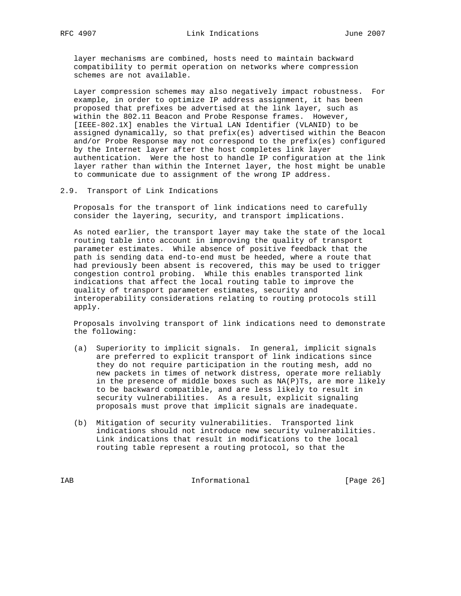layer mechanisms are combined, hosts need to maintain backward compatibility to permit operation on networks where compression schemes are not available.

 Layer compression schemes may also negatively impact robustness. For example, in order to optimize IP address assignment, it has been proposed that prefixes be advertised at the link layer, such as within the 802.11 Beacon and Probe Response frames. However, [IEEE-802.1X] enables the Virtual LAN Identifier (VLANID) to be assigned dynamically, so that prefix(es) advertised within the Beacon and/or Probe Response may not correspond to the prefix(es) configured by the Internet layer after the host completes link layer authentication. Were the host to handle IP configuration at the link layer rather than within the Internet layer, the host might be unable to communicate due to assignment of the wrong IP address.

#### 2.9. Transport of Link Indications

 Proposals for the transport of link indications need to carefully consider the layering, security, and transport implications.

 As noted earlier, the transport layer may take the state of the local routing table into account in improving the quality of transport parameter estimates. While absence of positive feedback that the path is sending data end-to-end must be heeded, where a route that had previously been absent is recovered, this may be used to trigger congestion control probing. While this enables transported link indications that affect the local routing table to improve the quality of transport parameter estimates, security and interoperability considerations relating to routing protocols still apply.

 Proposals involving transport of link indications need to demonstrate the following:

- (a) Superiority to implicit signals. In general, implicit signals are preferred to explicit transport of link indications since they do not require participation in the routing mesh, add no new packets in times of network distress, operate more reliably in the presence of middle boxes such as NA(P)Ts, are more likely to be backward compatible, and are less likely to result in security vulnerabilities. As a result, explicit signaling proposals must prove that implicit signals are inadequate.
- (b) Mitigation of security vulnerabilities. Transported link indications should not introduce new security vulnerabilities. Link indications that result in modifications to the local routing table represent a routing protocol, so that the

IAB Informational [Page 26]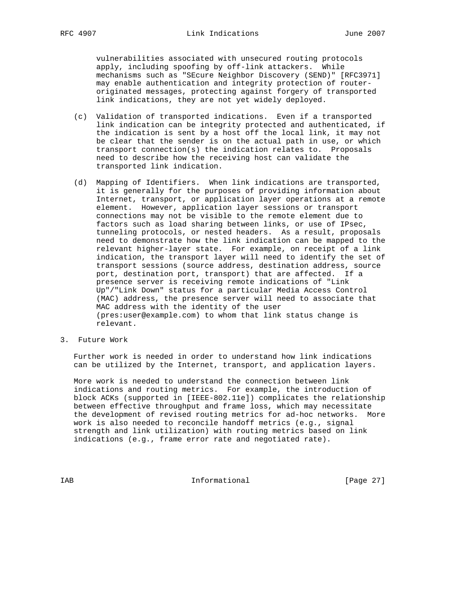vulnerabilities associated with unsecured routing protocols apply, including spoofing by off-link attackers. While mechanisms such as "SEcure Neighbor Discovery (SEND)" [RFC3971] may enable authentication and integrity protection of router originated messages, protecting against forgery of transported link indications, they are not yet widely deployed.

- (c) Validation of transported indications. Even if a transported link indication can be integrity protected and authenticated, if the indication is sent by a host off the local link, it may not be clear that the sender is on the actual path in use, or which transport connection(s) the indication relates to. Proposals need to describe how the receiving host can validate the transported link indication.
- (d) Mapping of Identifiers. When link indications are transported, it is generally for the purposes of providing information about Internet, transport, or application layer operations at a remote element. However, application layer sessions or transport connections may not be visible to the remote element due to factors such as load sharing between links, or use of IPsec, tunneling protocols, or nested headers. As a result, proposals need to demonstrate how the link indication can be mapped to the relevant higher-layer state. For example, on receipt of a link indication, the transport layer will need to identify the set of transport sessions (source address, destination address, source port, destination port, transport) that are affected. If a presence server is receiving remote indications of "Link Up"/"Link Down" status for a particular Media Access Control (MAC) address, the presence server will need to associate that MAC address with the identity of the user (pres:user@example.com) to whom that link status change is relevant.
- 3. Future Work

 Further work is needed in order to understand how link indications can be utilized by the Internet, transport, and application layers.

 More work is needed to understand the connection between link indications and routing metrics. For example, the introduction of block ACKs (supported in [IEEE-802.11e]) complicates the relationship between effective throughput and frame loss, which may necessitate the development of revised routing metrics for ad-hoc networks. More work is also needed to reconcile handoff metrics (e.g., signal strength and link utilization) with routing metrics based on link indications (e.g., frame error rate and negotiated rate).

IAB Informational [Page 27]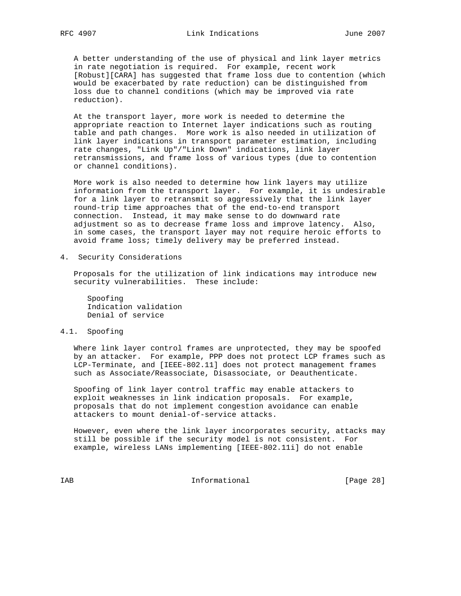A better understanding of the use of physical and link layer metrics in rate negotiation is required. For example, recent work [Robust][CARA] has suggested that frame loss due to contention (which would be exacerbated by rate reduction) can be distinguished from loss due to channel conditions (which may be improved via rate reduction).

 At the transport layer, more work is needed to determine the appropriate reaction to Internet layer indications such as routing table and path changes. More work is also needed in utilization of link layer indications in transport parameter estimation, including rate changes, "Link Up"/"Link Down" indications, link layer retransmissions, and frame loss of various types (due to contention or channel conditions).

 More work is also needed to determine how link layers may utilize information from the transport layer. For example, it is undesirable for a link layer to retransmit so aggressively that the link layer round-trip time approaches that of the end-to-end transport connection. Instead, it may make sense to do downward rate adjustment so as to decrease frame loss and improve latency. Also, in some cases, the transport layer may not require heroic efforts to avoid frame loss; timely delivery may be preferred instead.

4. Security Considerations

 Proposals for the utilization of link indications may introduce new security vulnerabilities. These include:

 Spoofing Indication validation Denial of service

#### 4.1. Spoofing

 Where link layer control frames are unprotected, they may be spoofed by an attacker. For example, PPP does not protect LCP frames such as LCP-Terminate, and [IEEE-802.11] does not protect management frames such as Associate/Reassociate, Disassociate, or Deauthenticate.

 Spoofing of link layer control traffic may enable attackers to exploit weaknesses in link indication proposals. For example, proposals that do not implement congestion avoidance can enable attackers to mount denial-of-service attacks.

 However, even where the link layer incorporates security, attacks may still be possible if the security model is not consistent. For example, wireless LANs implementing [IEEE-802.11i] do not enable

IAB Informational [Page 28]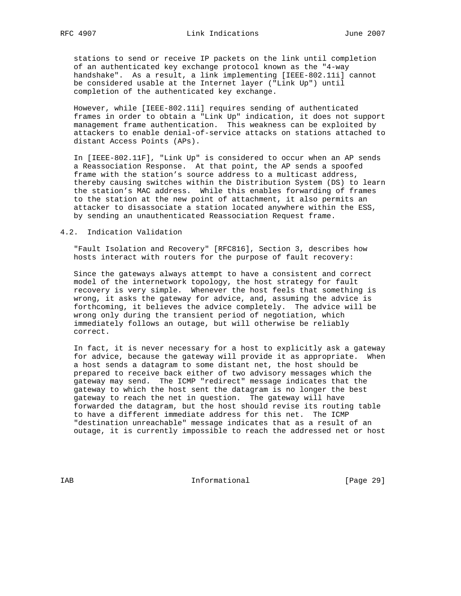stations to send or receive IP packets on the link until completion of an authenticated key exchange protocol known as the "4-way handshake". As a result, a link implementing [IEEE-802.11i] cannot be considered usable at the Internet layer ("Link Up") until completion of the authenticated key exchange.

 However, while [IEEE-802.11i] requires sending of authenticated frames in order to obtain a "Link Up" indication, it does not support management frame authentication. This weakness can be exploited by attackers to enable denial-of-service attacks on stations attached to distant Access Points (APs).

 In [IEEE-802.11F], "Link Up" is considered to occur when an AP sends a Reassociation Response. At that point, the AP sends a spoofed frame with the station's source address to a multicast address, thereby causing switches within the Distribution System (DS) to learn the station's MAC address. While this enables forwarding of frames to the station at the new point of attachment, it also permits an attacker to disassociate a station located anywhere within the ESS, by sending an unauthenticated Reassociation Request frame.

#### 4.2. Indication Validation

 "Fault Isolation and Recovery" [RFC816], Section 3, describes how hosts interact with routers for the purpose of fault recovery:

 Since the gateways always attempt to have a consistent and correct model of the internetwork topology, the host strategy for fault recovery is very simple. Whenever the host feels that something is wrong, it asks the gateway for advice, and, assuming the advice is forthcoming, it believes the advice completely. The advice will be wrong only during the transient period of negotiation, which immediately follows an outage, but will otherwise be reliably correct.

 In fact, it is never necessary for a host to explicitly ask a gateway for advice, because the gateway will provide it as appropriate. When a host sends a datagram to some distant net, the host should be prepared to receive back either of two advisory messages which the gateway may send. The ICMP "redirect" message indicates that the gateway to which the host sent the datagram is no longer the best gateway to reach the net in question. The gateway will have forwarded the datagram, but the host should revise its routing table to have a different immediate address for this net. The ICMP "destination unreachable" message indicates that as a result of an outage, it is currently impossible to reach the addressed net or host

IAB Informational [Page 29]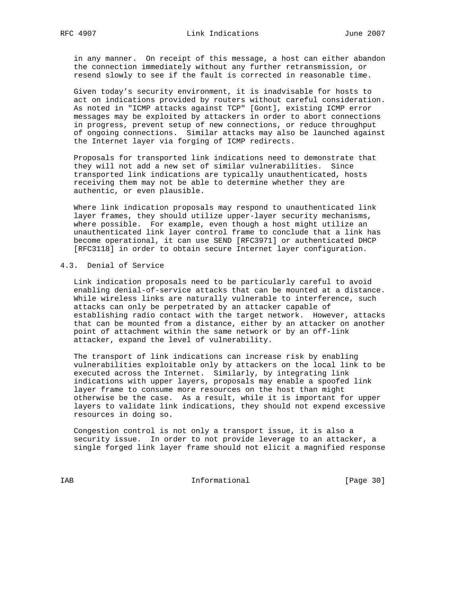in any manner. On receipt of this message, a host can either abandon the connection immediately without any further retransmission, or resend slowly to see if the fault is corrected in reasonable time.

 Given today's security environment, it is inadvisable for hosts to act on indications provided by routers without careful consideration. As noted in "ICMP attacks against TCP" [Gont], existing ICMP error messages may be exploited by attackers in order to abort connections in progress, prevent setup of new connections, or reduce throughput of ongoing connections. Similar attacks may also be launched against the Internet layer via forging of ICMP redirects.

 Proposals for transported link indications need to demonstrate that they will not add a new set of similar vulnerabilities. Since transported link indications are typically unauthenticated, hosts receiving them may not be able to determine whether they are authentic, or even plausible.

 Where link indication proposals may respond to unauthenticated link layer frames, they should utilize upper-layer security mechanisms, where possible. For example, even though a host might utilize an unauthenticated link layer control frame to conclude that a link has become operational, it can use SEND [RFC3971] or authenticated DHCP [RFC3118] in order to obtain secure Internet layer configuration.

### 4.3. Denial of Service

 Link indication proposals need to be particularly careful to avoid enabling denial-of-service attacks that can be mounted at a distance. While wireless links are naturally vulnerable to interference, such attacks can only be perpetrated by an attacker capable of establishing radio contact with the target network. However, attacks that can be mounted from a distance, either by an attacker on another point of attachment within the same network or by an off-link attacker, expand the level of vulnerability.

 The transport of link indications can increase risk by enabling vulnerabilities exploitable only by attackers on the local link to be executed across the Internet. Similarly, by integrating link indications with upper layers, proposals may enable a spoofed link layer frame to consume more resources on the host than might otherwise be the case. As a result, while it is important for upper layers to validate link indications, they should not expend excessive resources in doing so.

 Congestion control is not only a transport issue, it is also a security issue. In order to not provide leverage to an attacker, a single forged link layer frame should not elicit a magnified response

IAB Informational [Page 30]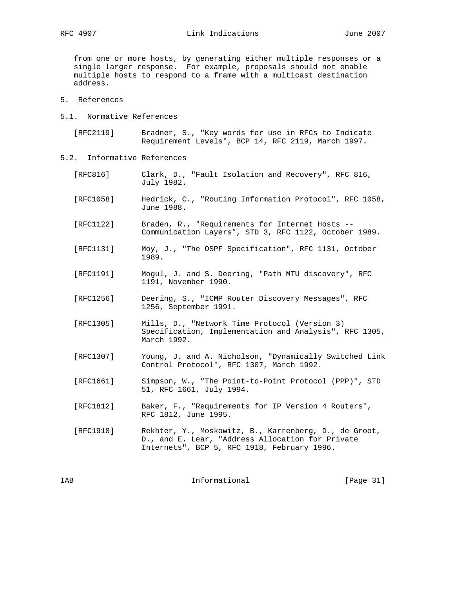from one or more hosts, by generating either multiple responses or a single larger response. For example, proposals should not enable multiple hosts to respond to a frame with a multicast destination address.

- 5. References
- 5.1. Normative References

 [RFC2119] Bradner, S., "Key words for use in RFCs to Indicate Requirement Levels", BCP 14, RFC 2119, March 1997.

- 5.2. Informative References
	- [RFC816] Clark, D., "Fault Isolation and Recovery", RFC 816, July 1982. [RFC1058] Hedrick, C., "Routing Information Protocol", RFC 1058, June 1988. [RFC1122] Braden, R., "Requirements for Internet Hosts -- Communication Layers", STD 3, RFC 1122, October 1989. [RFC1131] Moy, J., "The OSPF Specification", RFC 1131, October 1989. [RFC1191] Mogul, J. and S. Deering, "Path MTU discovery", RFC 1191, November 1990. [RFC1256] Deering, S., "ICMP Router Discovery Messages", RFC 1256, September 1991. [RFC1305] Mills, D., "Network Time Protocol (Version 3) Specification, Implementation and Analysis", RFC 1305, March 1992. [RFC1307] Young, J. and A. Nicholson, "Dynamically Switched Link Control Protocol", RFC 1307, March 1992. [RFC1661] Simpson, W., "The Point-to-Point Protocol (PPP)", STD 51, RFC 1661, July 1994. [RFC1812] Baker, F., "Requirements for IP Version 4 Routers", RFC 1812, June 1995. [RFC1918] Rekhter, Y., Moskowitz, B., Karrenberg, D., de Groot, D., and E. Lear, "Address Allocation for Private Internets", BCP 5, RFC 1918, February 1996.

IAB 188 Informational [Page 31]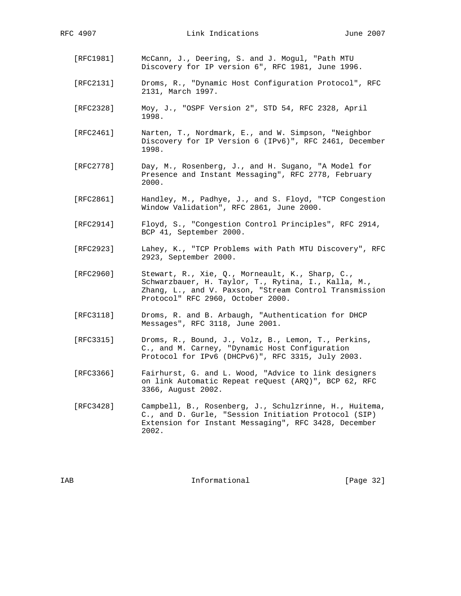- [RFC1981] McCann, J., Deering, S. and J. Mogul, "Path MTU Discovery for IP version 6", RFC 1981, June 1996.
- [RFC2131] Droms, R., "Dynamic Host Configuration Protocol", RFC 2131, March 1997.
- [RFC2328] Moy, J., "OSPF Version 2", STD 54, RFC 2328, April 1998.
- [RFC2461] Narten, T., Nordmark, E., and W. Simpson, "Neighbor Discovery for IP Version 6 (IPv6)", RFC 2461, December 1998.
- [RFC2778] Day, M., Rosenberg, J., and H. Sugano, "A Model for Presence and Instant Messaging", RFC 2778, February 2000.
- [RFC2861] Handley, M., Padhye, J., and S. Floyd, "TCP Congestion Window Validation", RFC 2861, June 2000.
- [RFC2914] Floyd, S., "Congestion Control Principles", RFC 2914, BCP 41, September 2000.
- [RFC2923] Lahey, K., "TCP Problems with Path MTU Discovery", RFC 2923, September 2000.
- [RFC2960] Stewart, R., Xie, Q., Morneault, K., Sharp, C., Schwarzbauer, H. Taylor, T., Rytina, I., Kalla, M., Zhang, L., and V. Paxson, "Stream Control Transmission Protocol" RFC 2960, October 2000.
- [RFC3118] Droms, R. and B. Arbaugh, "Authentication for DHCP Messages", RFC 3118, June 2001.
- [RFC3315] Droms, R., Bound, J., Volz, B., Lemon, T., Perkins, C., and M. Carney, "Dynamic Host Configuration Protocol for IPv6 (DHCPv6)", RFC 3315, July 2003.
- [RFC3366] Fairhurst, G. and L. Wood, "Advice to link designers on link Automatic Repeat reQuest (ARQ)", BCP 62, RFC 3366, August 2002.
- [RFC3428] Campbell, B., Rosenberg, J., Schulzrinne, H., Huitema, C., and D. Gurle, "Session Initiation Protocol (SIP) Extension for Instant Messaging", RFC 3428, December 2002.

IAB Informational [Page 32]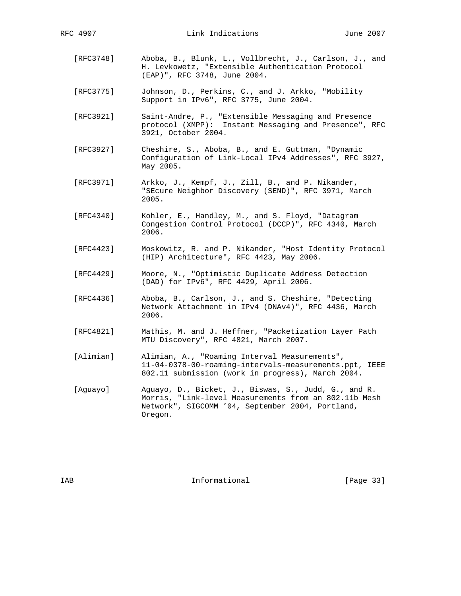- [RFC3748] Aboba, B., Blunk, L., Vollbrecht, J., Carlson, J., and H. Levkowetz, "Extensible Authentication Protocol (EAP)", RFC 3748, June 2004.
- [RFC3775] Johnson, D., Perkins, C., and J. Arkko, "Mobility Support in IPv6", RFC 3775, June 2004.
- [RFC3921] Saint-Andre, P., "Extensible Messaging and Presence protocol (XMPP): Instant Messaging and Presence", RFC 3921, October 2004.
- [RFC3927] Cheshire, S., Aboba, B., and E. Guttman, "Dynamic Configuration of Link-Local IPv4 Addresses", RFC 3927, May 2005.
- [RFC3971] Arkko, J., Kempf, J., Zill, B., and P. Nikander, "SEcure Neighbor Discovery (SEND)", RFC 3971, March 2005.
- [RFC4340] Kohler, E., Handley, M., and S. Floyd, "Datagram Congestion Control Protocol (DCCP)", RFC 4340, March 2006.
- [RFC4423] Moskowitz, R. and P. Nikander, "Host Identity Protocol (HIP) Architecture", RFC 4423, May 2006.
- [RFC4429] Moore, N., "Optimistic Duplicate Address Detection (DAD) for IPv6", RFC 4429, April 2006.
- [RFC4436] Aboba, B., Carlson, J., and S. Cheshire, "Detecting Network Attachment in IPv4 (DNAv4)", RFC 4436, March 2006.
- [RFC4821] Mathis, M. and J. Heffner, "Packetization Layer Path MTU Discovery", RFC 4821, March 2007.
- [Alimian] Alimian, A., "Roaming Interval Measurements", 11-04-0378-00-roaming-intervals-measurements.ppt, IEEE 802.11 submission (work in progress), March 2004.
- [Aguayo] Aguayo, D., Bicket, J., Biswas, S., Judd, G., and R. Morris, "Link-level Measurements from an 802.11b Mesh Network", SIGCOMM '04, September 2004, Portland, Oregon.

IAB 188 and 100 Informational 188 and 1980 Informational 188 and 1891 1892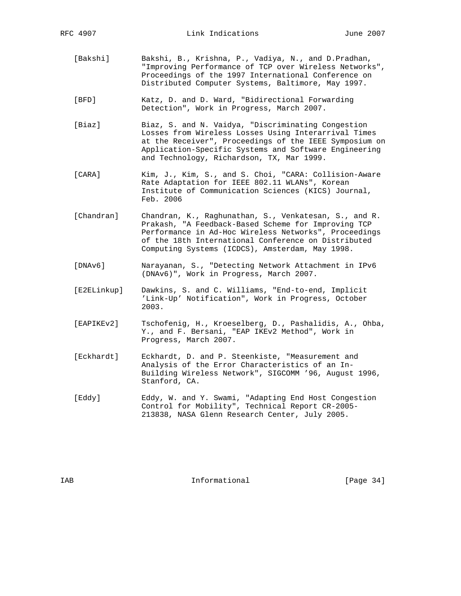- [Bakshi] Bakshi, B., Krishna, P., Vadiya, N., and D.Pradhan, "Improving Performance of TCP over Wireless Networks", Proceedings of the 1997 International Conference on Distributed Computer Systems, Baltimore, May 1997.
- [BFD] Katz, D. and D. Ward, "Bidirectional Forwarding Detection", Work in Progress, March 2007.
- [Biaz] Biaz, S. and N. Vaidya, "Discriminating Congestion Losses from Wireless Losses Using Interarrival Times at the Receiver", Proceedings of the IEEE Symposium on Application-Specific Systems and Software Engineering and Technology, Richardson, TX, Mar 1999.
- [CARA] Kim, J., Kim, S., and S. Choi, "CARA: Collision-Aware Rate Adaptation for IEEE 802.11 WLANs", Korean Institute of Communication Sciences (KICS) Journal, Feb. 2006
- [Chandran] Chandran, K., Raghunathan, S., Venkatesan, S., and R. Prakash, "A Feedback-Based Scheme for Improving TCP Performance in Ad-Hoc Wireless Networks", Proceedings of the 18th International Conference on Distributed Computing Systems (ICDCS), Amsterdam, May 1998.
- [DNAv6] Narayanan, S., "Detecting Network Attachment in IPv6 (DNAv6)", Work in Progress, March 2007.
- [E2ELinkup] Dawkins, S. and C. Williams, "End-to-end, Implicit 'Link-Up' Notification", Work in Progress, October 2003.
- [EAPIKEv2] Tschofenig, H., Kroeselberg, D., Pashalidis, A., Ohba, Y., and F. Bersani, "EAP IKEv2 Method", Work in Progress, March 2007.
- [Eckhardt] Eckhardt, D. and P. Steenkiste, "Measurement and Analysis of the Error Characteristics of an In- Building Wireless Network", SIGCOMM '96, August 1996, Stanford, CA.
- [Eddy] Eddy, W. and Y. Swami, "Adapting End Host Congestion Control for Mobility", Technical Report CR-2005- 213838, NASA Glenn Research Center, July 2005.

IAB 188 CHA Informational The Informational (Page 34)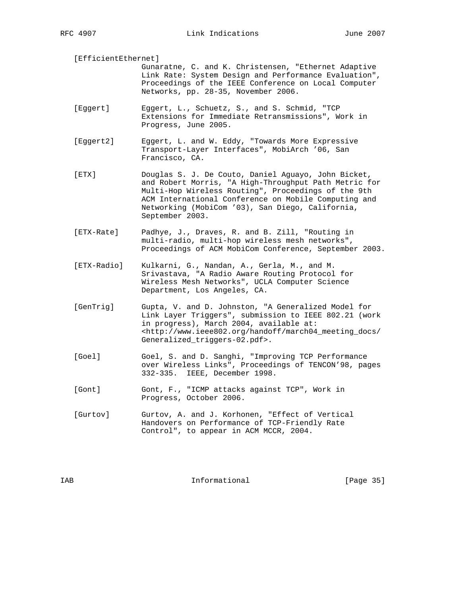[EfficientEthernet]

- Gunaratne, C. and K. Christensen, "Ethernet Adaptive Link Rate: System Design and Performance Evaluation", Proceedings of the IEEE Conference on Local Computer Networks, pp. 28-35, November 2006.
- [Eggert] Eggert, L., Schuetz, S., and S. Schmid, "TCP Extensions for Immediate Retransmissions", Work in Progress, June 2005.
- [Eggert2] Eggert, L. and W. Eddy, "Towards More Expressive Transport-Layer Interfaces", MobiArch '06, San Francisco, CA.
- [ETX] Douglas S. J. De Couto, Daniel Aguayo, John Bicket, and Robert Morris, "A High-Throughput Path Metric for Multi-Hop Wireless Routing", Proceedings of the 9th ACM International Conference on Mobile Computing and Networking (MobiCom '03), San Diego, California, September 2003.
- [ETX-Rate] Padhye, J., Draves, R. and B. Zill, "Routing in multi-radio, multi-hop wireless mesh networks", Proceedings of ACM MobiCom Conference, September 2003.
- [ETX-Radio] Kulkarni, G., Nandan, A., Gerla, M., and M. Srivastava, "A Radio Aware Routing Protocol for Wireless Mesh Networks", UCLA Computer Science Department, Los Angeles, CA.
- [GenTrig] Gupta, V. and D. Johnston, "A Generalized Model for Link Layer Triggers", submission to IEEE 802.21 (work in progress), March 2004, available at: <http://www.ieee802.org/handoff/march04\_meeting\_docs/ Generalized\_triggers-02.pdf>.
- [Goel] Goel, S. and D. Sanghi, "Improving TCP Performance over Wireless Links", Proceedings of TENCON'98, pages 332-335. IEEE, December 1998.
- [Gont] Gont, F., "ICMP attacks against TCP", Work in Progress, October 2006.
- [Gurtov] Gurtov, A. and J. Korhonen, "Effect of Vertical Handovers on Performance of TCP-Friendly Rate Control", to appear in ACM MCCR, 2004.

IAB 188 and 100 Informational 188 and 1980 Informational 188 and 1891 1892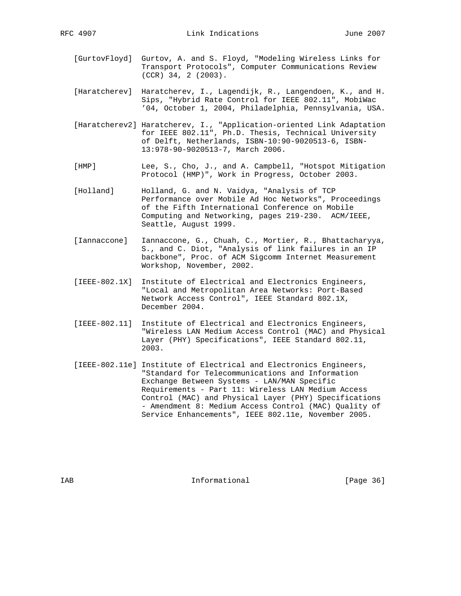- [GurtovFloyd] Gurtov, A. and S. Floyd, "Modeling Wireless Links for Transport Protocols", Computer Communications Review (CCR) 34, 2 (2003).
- [Haratcherev] Haratcherev, I., Lagendijk, R., Langendoen, K., and H. Sips, "Hybrid Rate Control for IEEE 802.11", MobiWac '04, October 1, 2004, Philadelphia, Pennsylvania, USA.
- [Haratcherev2] Haratcherev, I., "Application-oriented Link Adaptation for IEEE 802.11", Ph.D. Thesis, Technical University of Delft, Netherlands, ISBN-10:90-9020513-6, ISBN- 13:978-90-9020513-7, March 2006.
- [HMP] Lee, S., Cho, J., and A. Campbell, "Hotspot Mitigation Protocol (HMP)", Work in Progress, October 2003.
- [Holland] Holland, G. and N. Vaidya, "Analysis of TCP Performance over Mobile Ad Hoc Networks", Proceedings of the Fifth International Conference on Mobile Computing and Networking, pages 219-230. ACM/IEEE, Seattle, August 1999.
- [Iannaccone] Iannaccone, G., Chuah, C., Mortier, R., Bhattacharyya, S., and C. Diot, "Analysis of link failures in an IP backbone", Proc. of ACM Sigcomm Internet Measurement Workshop, November, 2002.
- [IEEE-802.1X] Institute of Electrical and Electronics Engineers, "Local and Metropolitan Area Networks: Port-Based Network Access Control", IEEE Standard 802.1X, December 2004.
- [IEEE-802.11] Institute of Electrical and Electronics Engineers, "Wireless LAN Medium Access Control (MAC) and Physical Layer (PHY) Specifications", IEEE Standard 802.11, 2003.
- [IEEE-802.11e] Institute of Electrical and Electronics Engineers, "Standard for Telecommunications and Information Exchange Between Systems - LAN/MAN Specific Requirements - Part 11: Wireless LAN Medium Access Control (MAC) and Physical Layer (PHY) Specifications - Amendment 8: Medium Access Control (MAC) Quality of Service Enhancements", IEEE 802.11e, November 2005.

IAB 188 and 100 Informational 188 and 1980 Informational 188 and 1890 Interventional 1890 Interventional 1890 Interventional 1890 Interventional 1890 Interventional 1890 Interventional 1890 Interventional 1890 Intervention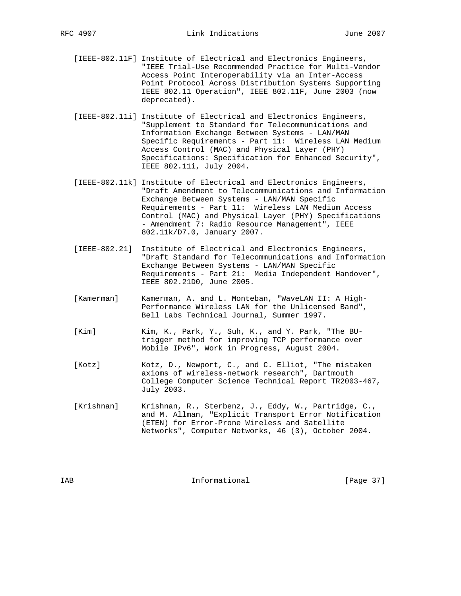- [IEEE-802.11F] Institute of Electrical and Electronics Engineers, "IEEE Trial-Use Recommended Practice for Multi-Vendor Access Point Interoperability via an Inter-Access Point Protocol Across Distribution Systems Supporting IEEE 802.11 Operation", IEEE 802.11F, June 2003 (now deprecated).
- [IEEE-802.11i] Institute of Electrical and Electronics Engineers, "Supplement to Standard for Telecommunications and Information Exchange Between Systems - LAN/MAN Specific Requirements - Part 11: Wireless LAN Medium Access Control (MAC) and Physical Layer (PHY) Specifications: Specification for Enhanced Security", IEEE 802.11i, July 2004.
- [IEEE-802.11k] Institute of Electrical and Electronics Engineers, "Draft Amendment to Telecommunications and Information Exchange Between Systems - LAN/MAN Specific Requirements - Part 11: Wireless LAN Medium Access Control (MAC) and Physical Layer (PHY) Specifications - Amendment 7: Radio Resource Management", IEEE 802.11k/D7.0, January 2007.
- [IEEE-802.21] Institute of Electrical and Electronics Engineers, "Draft Standard for Telecommunications and Information Exchange Between Systems - LAN/MAN Specific Requirements - Part 21: Media Independent Handover", IEEE 802.21D0, June 2005.
- [Kamerman] Kamerman, A. and L. Monteban, "WaveLAN II: A High- Performance Wireless LAN for the Unlicensed Band", Bell Labs Technical Journal, Summer 1997.
- [Kim] Kim, K., Park, Y., Suh, K., and Y. Park, "The BU trigger method for improving TCP performance over Mobile IPv6", Work in Progress, August 2004.
- [Kotz] Kotz, D., Newport, C., and C. Elliot, "The mistaken axioms of wireless-network research", Dartmouth College Computer Science Technical Report TR2003-467, July 2003.
- [Krishnan] Krishnan, R., Sterbenz, J., Eddy, W., Partridge, C., and M. Allman, "Explicit Transport Error Notification (ETEN) for Error-Prone Wireless and Satellite Networks", Computer Networks, 46 (3), October 2004.

IAB 188 CHA Informational The Informational (Page 37)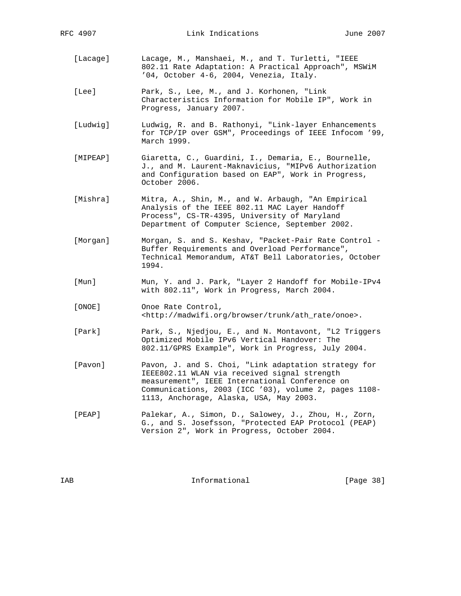- [Lacage] Lacage, M., Manshaei, M., and T. Turletti, "IEEE 802.11 Rate Adaptation: A Practical Approach", MSWiM '04, October 4-6, 2004, Venezia, Italy.
- [Lee] Park, S., Lee, M., and J. Korhonen, "Link Characteristics Information for Mobile IP", Work in Progress, January 2007.
- [Ludwig] Ludwig, R. and B. Rathonyi, "Link-layer Enhancements for TCP/IP over GSM", Proceedings of IEEE Infocom '99, March 1999.
- [MIPEAP] Giaretta, C., Guardini, I., Demaria, E., Bournelle, J., and M. Laurent-Maknavicius, "MIPv6 Authorization and Configuration based on EAP", Work in Progress, October 2006.
- [Mishra] Mitra, A., Shin, M., and W. Arbaugh, "An Empirical Analysis of the IEEE 802.11 MAC Layer Handoff Process", CS-TR-4395, University of Maryland Department of Computer Science, September 2002.
- [Morgan] Morgan, S. and S. Keshav, "Packet-Pair Rate Control Buffer Requirements and Overload Performance", Technical Memorandum, AT&T Bell Laboratories, October 1994.
- [Mun] Mun, Y. and J. Park, "Layer 2 Handoff for Mobile-IPv4 with 802.11", Work in Progress, March 2004.
- [ONOE] Onoe Rate Control, <http://madwifi.org/browser/trunk/ath\_rate/onoe>.
- [Park] Park, S., Njedjou, E., and N. Montavont, "L2 Triggers Optimized Mobile IPv6 Vertical Handover: The 802.11/GPRS Example", Work in Progress, July 2004.
- [Pavon] Pavon, J. and S. Choi, "Link adaptation strategy for IEEE802.11 WLAN via received signal strength measurement", IEEE International Conference on Communications, 2003 (ICC '03), volume 2, pages 1108- 1113, Anchorage, Alaska, USA, May 2003.
- [PEAP] Palekar, A., Simon, D., Salowey, J., Zhou, H., Zorn, G., and S. Josefsson, "Protected EAP Protocol (PEAP) Version 2", Work in Progress, October 2004.

IAB 188 CHA Informational The Informational The IPage 38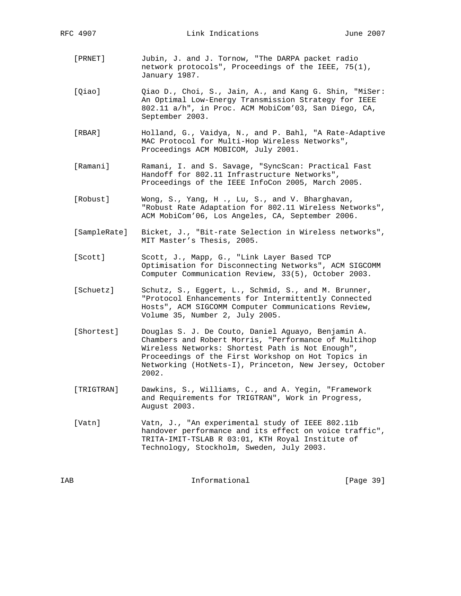- [PRNET] Jubin, J. and J. Tornow, "The DARPA packet radio network protocols", Proceedings of the IEEE, 75(1), January 1987.
- [Qiao]  $Qiao D., Choi, S., Jain, A., and Kang G. Shin, "Miser:$  An Optimal Low-Energy Transmission Strategy for IEEE 802.11 a/h", in Proc. ACM MobiCom'03, San Diego, CA, September 2003.
- [RBAR] Holland, G., Vaidya, N., and P. Bahl, "A Rate-Adaptive MAC Protocol for Multi-Hop Wireless Networks", Proceedings ACM MOBICOM, July 2001.
- [Ramani] Ramani, I. and S. Savage, "SyncScan: Practical Fast Handoff for 802.11 Infrastructure Networks", Proceedings of the IEEE InfoCon 2005, March 2005.
- [Robust] Wong, S., Yang, H ., Lu, S., and V. Bharghavan, "Robust Rate Adaptation for 802.11 Wireless Networks", ACM MobiCom'06, Los Angeles, CA, September 2006.
- [SampleRate] Bicket, J., "Bit-rate Selection in Wireless networks", MIT Master's Thesis, 2005.
- [Scott] Scott, J., Mapp, G., "Link Layer Based TCP Optimisation for Disconnecting Networks", ACM SIGCOMM Computer Communication Review, 33(5), October 2003.
- [Schuetz] Schutz, S., Eggert, L., Schmid, S., and M. Brunner, "Protocol Enhancements for Intermittently Connected Hosts", ACM SIGCOMM Computer Communications Review, Volume 35, Number 2, July 2005.
- [Shortest] Douglas S. J. De Couto, Daniel Aguayo, Benjamin A. Chambers and Robert Morris, "Performance of Multihop Wireless Networks: Shortest Path is Not Enough", Proceedings of the First Workshop on Hot Topics in Networking (HotNets-I), Princeton, New Jersey, October 2002.
- [TRIGTRAN] Dawkins, S., Williams, C., and A. Yegin, "Framework and Requirements for TRIGTRAN", Work in Progress, August 2003.
- [Vatn] Vatn, J., "An experimental study of IEEE 802.11b handover performance and its effect on voice traffic", TRITA-IMIT-TSLAB R 03:01, KTH Royal Institute of Technology, Stockholm, Sweden, July 2003.

IAB Informational [Page 39]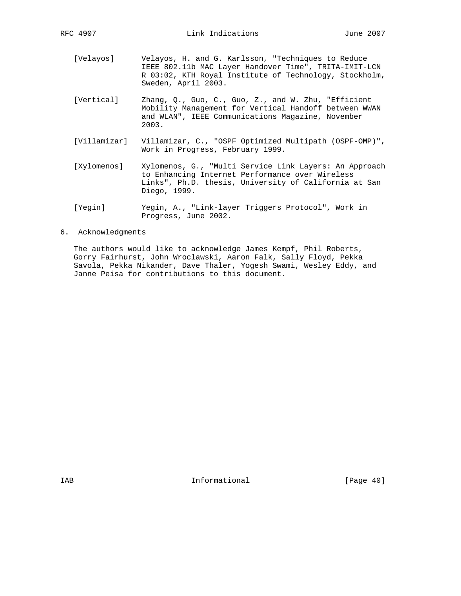- [Velayos] Velayos, H. and G. Karlsson, "Techniques to Reduce IEEE 802.11b MAC Layer Handover Time", TRITA-IMIT-LCN R 03:02, KTH Royal Institute of Technology, Stockholm, Sweden, April 2003.
- [Vertical] Zhang, Q., Guo, C., Guo, Z., and W. Zhu, "Efficient Mobility Management for Vertical Handoff between WWAN and WLAN", IEEE Communications Magazine, November 2003.
- [Villamizar] Villamizar, C., "OSPF Optimized Multipath (OSPF-OMP)", Work in Progress, February 1999.
- [Xylomenos] Xylomenos, G., "Multi Service Link Layers: An Approach to Enhancing Internet Performance over Wireless Links", Ph.D. thesis, University of California at San Diego, 1999.
- [Yegin] Yegin, A., "Link-layer Triggers Protocol", Work in Progress, June 2002.
- 6. Acknowledgments

 The authors would like to acknowledge James Kempf, Phil Roberts, Gorry Fairhurst, John Wroclawski, Aaron Falk, Sally Floyd, Pekka Savola, Pekka Nikander, Dave Thaler, Yogesh Swami, Wesley Eddy, and Janne Peisa for contributions to this document.

IAB 188 Informational [Page 40]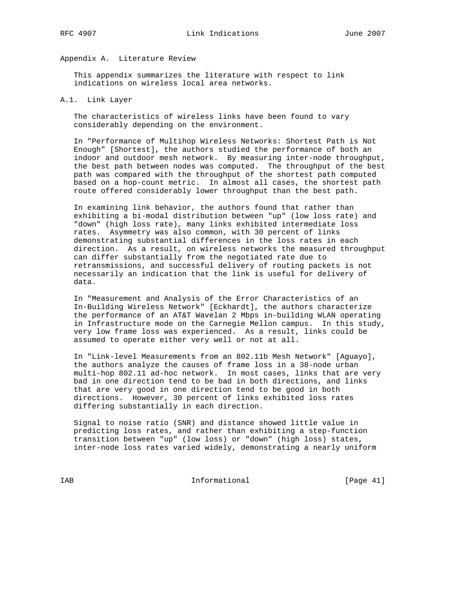## Appendix A. Literature Review

 This appendix summarizes the literature with respect to link indications on wireless local area networks.

#### A.1. Link Layer

 The characteristics of wireless links have been found to vary considerably depending on the environment.

 In "Performance of Multihop Wireless Networks: Shortest Path is Not Enough" [Shortest], the authors studied the performance of both an indoor and outdoor mesh network. By measuring inter-node throughput, the best path between nodes was computed. The throughput of the best path was compared with the throughput of the shortest path computed based on a hop-count metric. In almost all cases, the shortest path route offered considerably lower throughput than the best path.

 In examining link behavior, the authors found that rather than exhibiting a bi-modal distribution between "up" (low loss rate) and "down" (high loss rate), many links exhibited intermediate loss rates. Asymmetry was also common, with 30 percent of links demonstrating substantial differences in the loss rates in each direction. As a result, on wireless networks the measured throughput can differ substantially from the negotiated rate due to retransmissions, and successful delivery of routing packets is not necessarily an indication that the link is useful for delivery of data.

 In "Measurement and Analysis of the Error Characteristics of an In-Building Wireless Network" [Eckhardt], the authors characterize the performance of an AT&T Wavelan 2 Mbps in-building WLAN operating in Infrastructure mode on the Carnegie Mellon campus. In this study, very low frame loss was experienced. As a result, links could be assumed to operate either very well or not at all.

 In "Link-level Measurements from an 802.11b Mesh Network" [Aguayo], the authors analyze the causes of frame loss in a 38-node urban multi-hop 802.11 ad-hoc network. In most cases, links that are very bad in one direction tend to be bad in both directions, and links that are very good in one direction tend to be good in both directions. However, 30 percent of links exhibited loss rates differing substantially in each direction.

 Signal to noise ratio (SNR) and distance showed little value in predicting loss rates, and rather than exhibiting a step-function transition between "up" (low loss) or "down" (high loss) states, inter-node loss rates varied widely, demonstrating a nearly uniform

IAB Informational [Page 41]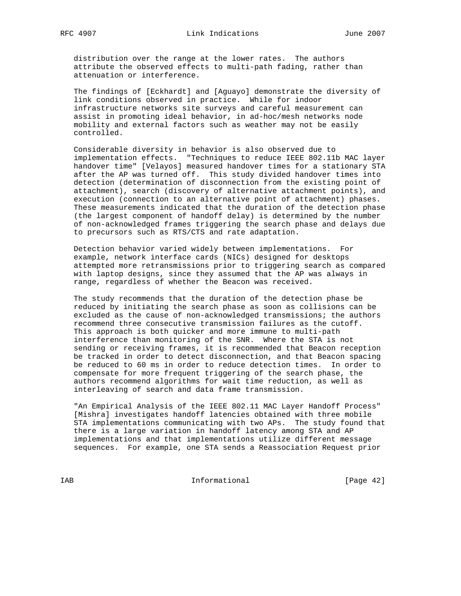distribution over the range at the lower rates. The authors attribute the observed effects to multi-path fading, rather than attenuation or interference.

 The findings of [Eckhardt] and [Aguayo] demonstrate the diversity of link conditions observed in practice. While for indoor infrastructure networks site surveys and careful measurement can assist in promoting ideal behavior, in ad-hoc/mesh networks node mobility and external factors such as weather may not be easily controlled.

 Considerable diversity in behavior is also observed due to implementation effects. "Techniques to reduce IEEE 802.11b MAC layer handover time" [Velayos] measured handover times for a stationary STA after the AP was turned off. This study divided handover times into detection (determination of disconnection from the existing point of attachment), search (discovery of alternative attachment points), and execution (connection to an alternative point of attachment) phases. These measurements indicated that the duration of the detection phase (the largest component of handoff delay) is determined by the number of non-acknowledged frames triggering the search phase and delays due to precursors such as RTS/CTS and rate adaptation.

 Detection behavior varied widely between implementations. For example, network interface cards (NICs) designed for desktops attempted more retransmissions prior to triggering search as compared with laptop designs, since they assumed that the AP was always in range, regardless of whether the Beacon was received.

 The study recommends that the duration of the detection phase be reduced by initiating the search phase as soon as collisions can be excluded as the cause of non-acknowledged transmissions; the authors recommend three consecutive transmission failures as the cutoff. This approach is both quicker and more immune to multi-path interference than monitoring of the SNR. Where the STA is not sending or receiving frames, it is recommended that Beacon reception be tracked in order to detect disconnection, and that Beacon spacing be reduced to 60 ms in order to reduce detection times. In order to compensate for more frequent triggering of the search phase, the authors recommend algorithms for wait time reduction, as well as interleaving of search and data frame transmission.

"An Empirical Analysis of the IEEE 802.11 MAC Layer Handoff Process" [Mishra] investigates handoff latencies obtained with three mobile STA implementations communicating with two APs. The study found that there is a large variation in handoff latency among STA and AP implementations and that implementations utilize different message sequences. For example, one STA sends a Reassociation Request prior

IAB Informational [Page 42]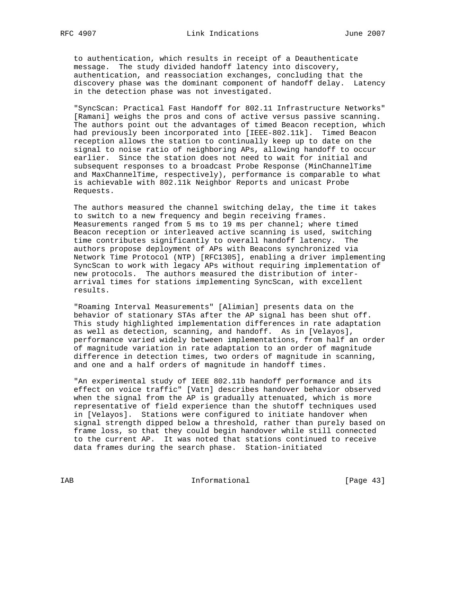to authentication, which results in receipt of a Deauthenticate message. The study divided handoff latency into discovery, authentication, and reassociation exchanges, concluding that the discovery phase was the dominant component of handoff delay. Latency in the detection phase was not investigated.

 "SyncScan: Practical Fast Handoff for 802.11 Infrastructure Networks" [Ramani] weighs the pros and cons of active versus passive scanning. The authors point out the advantages of timed Beacon reception, which had previously been incorporated into [IEEE-802.11k]. Timed Beacon reception allows the station to continually keep up to date on the signal to noise ratio of neighboring APs, allowing handoff to occur earlier. Since the station does not need to wait for initial and subsequent responses to a broadcast Probe Response (MinChannelTime and MaxChannelTime, respectively), performance is comparable to what is achievable with 802.11k Neighbor Reports and unicast Probe Requests.

 The authors measured the channel switching delay, the time it takes to switch to a new frequency and begin receiving frames. Measurements ranged from 5 ms to 19 ms per channel; where timed Beacon reception or interleaved active scanning is used, switching time contributes significantly to overall handoff latency. The authors propose deployment of APs with Beacons synchronized via Network Time Protocol (NTP) [RFC1305], enabling a driver implementing SyncScan to work with legacy APs without requiring implementation of new protocols. The authors measured the distribution of inter arrival times for stations implementing SyncScan, with excellent results.

 "Roaming Interval Measurements" [Alimian] presents data on the behavior of stationary STAs after the AP signal has been shut off. This study highlighted implementation differences in rate adaptation as well as detection, scanning, and handoff. As in [Velayos], performance varied widely between implementations, from half an order of magnitude variation in rate adaptation to an order of magnitude difference in detection times, two orders of magnitude in scanning, and one and a half orders of magnitude in handoff times.

 "An experimental study of IEEE 802.11b handoff performance and its effect on voice traffic" [Vatn] describes handover behavior observed when the signal from the AP is gradually attenuated, which is more representative of field experience than the shutoff techniques used in [Velayos]. Stations were configured to initiate handover when signal strength dipped below a threshold, rather than purely based on frame loss, so that they could begin handover while still connected to the current AP. It was noted that stations continued to receive data frames during the search phase. Station-initiated

IAB Informational [Page 43]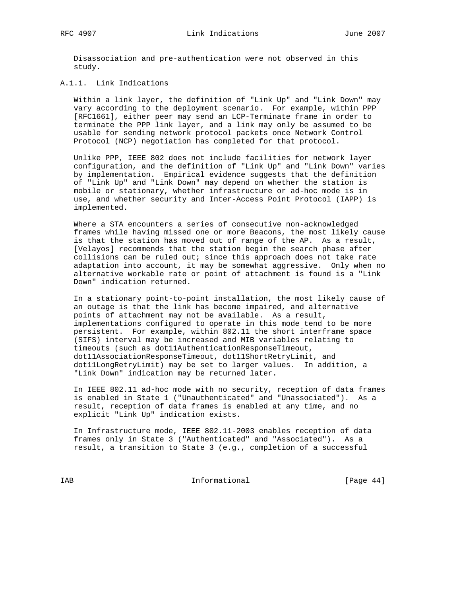Disassociation and pre-authentication were not observed in this study.

## A.1.1. Link Indications

 Within a link layer, the definition of "Link Up" and "Link Down" may vary according to the deployment scenario. For example, within PPP [RFC1661], either peer may send an LCP-Terminate frame in order to terminate the PPP link layer, and a link may only be assumed to be usable for sending network protocol packets once Network Control Protocol (NCP) negotiation has completed for that protocol.

 Unlike PPP, IEEE 802 does not include facilities for network layer configuration, and the definition of "Link Up" and "Link Down" varies by implementation. Empirical evidence suggests that the definition of "Link Up" and "Link Down" may depend on whether the station is mobile or stationary, whether infrastructure or ad-hoc mode is in use, and whether security and Inter-Access Point Protocol (IAPP) is implemented.

 Where a STA encounters a series of consecutive non-acknowledged frames while having missed one or more Beacons, the most likely cause is that the station has moved out of range of the AP. As a result, [Velayos] recommends that the station begin the search phase after collisions can be ruled out; since this approach does not take rate adaptation into account, it may be somewhat aggressive. Only when no alternative workable rate or point of attachment is found is a "Link Down" indication returned.

 In a stationary point-to-point installation, the most likely cause of an outage is that the link has become impaired, and alternative points of attachment may not be available. As a result, implementations configured to operate in this mode tend to be more persistent. For example, within 802.11 the short interframe space (SIFS) interval may be increased and MIB variables relating to timeouts (such as dot11AuthenticationResponseTimeout, dot11AssociationResponseTimeout, dot11ShortRetryLimit, and dot11LongRetryLimit) may be set to larger values. In addition, a "Link Down" indication may be returned later.

 In IEEE 802.11 ad-hoc mode with no security, reception of data frames is enabled in State 1 ("Unauthenticated" and "Unassociated"). As a result, reception of data frames is enabled at any time, and no explicit "Link Up" indication exists.

 In Infrastructure mode, IEEE 802.11-2003 enables reception of data frames only in State 3 ("Authenticated" and "Associated"). As a result, a transition to State 3 (e.g., completion of a successful

IAB Informational [Page 44]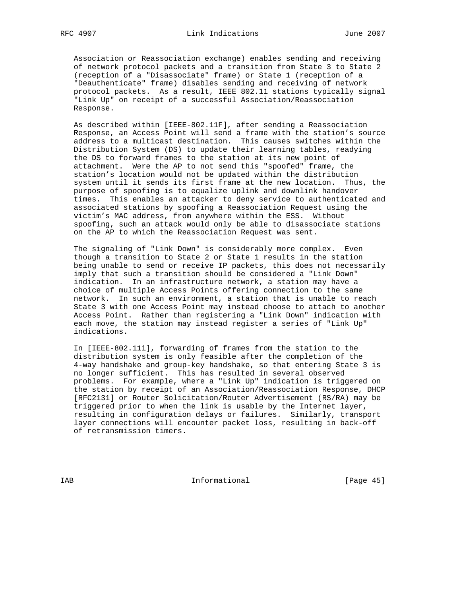Association or Reassociation exchange) enables sending and receiving of network protocol packets and a transition from State 3 to State 2 (reception of a "Disassociate" frame) or State 1 (reception of a "Deauthenticate" frame) disables sending and receiving of network protocol packets. As a result, IEEE 802.11 stations typically signal "Link Up" on receipt of a successful Association/Reassociation Response.

 As described within [IEEE-802.11F], after sending a Reassociation Response, an Access Point will send a frame with the station's source address to a multicast destination. This causes switches within the Distribution System (DS) to update their learning tables, readying the DS to forward frames to the station at its new point of attachment. Were the AP to not send this "spoofed" frame, the station's location would not be updated within the distribution system until it sends its first frame at the new location. Thus, the purpose of spoofing is to equalize uplink and downlink handover times. This enables an attacker to deny service to authenticated and associated stations by spoofing a Reassociation Request using the victim's MAC address, from anywhere within the ESS. Without spoofing, such an attack would only be able to disassociate stations on the AP to which the Reassociation Request was sent.

 The signaling of "Link Down" is considerably more complex. Even though a transition to State 2 or State 1 results in the station being unable to send or receive IP packets, this does not necessarily imply that such a transition should be considered a "Link Down" indication. In an infrastructure network, a station may have a choice of multiple Access Points offering connection to the same network. In such an environment, a station that is unable to reach State 3 with one Access Point may instead choose to attach to another Access Point. Rather than registering a "Link Down" indication with each move, the station may instead register a series of "Link Up" indications.

 In [IEEE-802.11i], forwarding of frames from the station to the distribution system is only feasible after the completion of the 4-way handshake and group-key handshake, so that entering State 3 is no longer sufficient. This has resulted in several observed problems. For example, where a "Link Up" indication is triggered on the station by receipt of an Association/Reassociation Response, DHCP [RFC2131] or Router Solicitation/Router Advertisement (RS/RA) may be triggered prior to when the link is usable by the Internet layer, resulting in configuration delays or failures. Similarly, transport layer connections will encounter packet loss, resulting in back-off of retransmission timers.

IAB Informational [Page 45]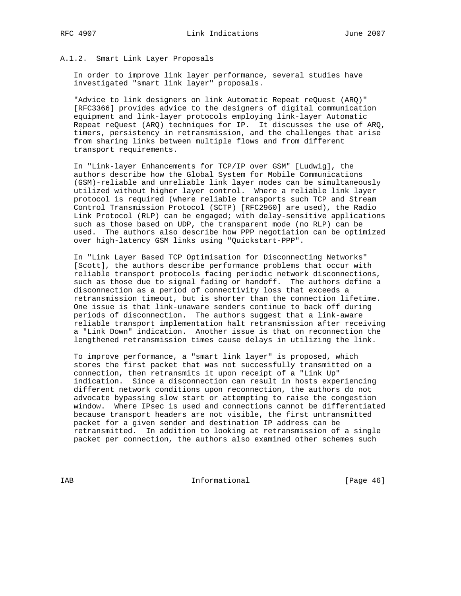#### A.1.2. Smart Link Layer Proposals

 In order to improve link layer performance, several studies have investigated "smart link layer" proposals.

 "Advice to link designers on link Automatic Repeat reQuest (ARQ)" [RFC3366] provides advice to the designers of digital communication equipment and link-layer protocols employing link-layer Automatic Repeat reQuest (ARQ) techniques for IP. It discusses the use of ARQ, timers, persistency in retransmission, and the challenges that arise from sharing links between multiple flows and from different transport requirements.

 In "Link-layer Enhancements for TCP/IP over GSM" [Ludwig], the authors describe how the Global System for Mobile Communications (GSM)-reliable and unreliable link layer modes can be simultaneously utilized without higher layer control. Where a reliable link layer protocol is required (where reliable transports such TCP and Stream Control Transmission Protocol (SCTP) [RFC2960] are used), the Radio Link Protocol (RLP) can be engaged; with delay-sensitive applications such as those based on UDP, the transparent mode (no RLP) can be used. The authors also describe how PPP negotiation can be optimized over high-latency GSM links using "Quickstart-PPP".

 In "Link Layer Based TCP Optimisation for Disconnecting Networks" [Scott], the authors describe performance problems that occur with reliable transport protocols facing periodic network disconnections, such as those due to signal fading or handoff. The authors define a disconnection as a period of connectivity loss that exceeds a retransmission timeout, but is shorter than the connection lifetime. One issue is that link-unaware senders continue to back off during periods of disconnection. The authors suggest that a link-aware reliable transport implementation halt retransmission after receiving a "Link Down" indication. Another issue is that on reconnection the lengthened retransmission times cause delays in utilizing the link.

 To improve performance, a "smart link layer" is proposed, which stores the first packet that was not successfully transmitted on a connection, then retransmits it upon receipt of a "Link Up" indication. Since a disconnection can result in hosts experiencing different network conditions upon reconnection, the authors do not advocate bypassing slow start or attempting to raise the congestion window. Where IPsec is used and connections cannot be differentiated because transport headers are not visible, the first untransmitted packet for a given sender and destination IP address can be retransmitted. In addition to looking at retransmission of a single packet per connection, the authors also examined other schemes such

IAB Informational [Page 46]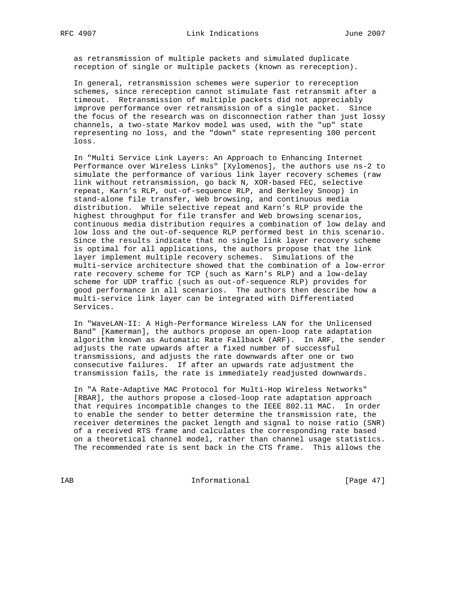as retransmission of multiple packets and simulated duplicate reception of single or multiple packets (known as rereception).

 In general, retransmission schemes were superior to rereception schemes, since rereception cannot stimulate fast retransmit after a timeout. Retransmission of multiple packets did not appreciably improve performance over retransmission of a single packet. Since the focus of the research was on disconnection rather than just lossy channels, a two-state Markov model was used, with the "up" state representing no loss, and the "down" state representing 100 percent loss.

 In "Multi Service Link Layers: An Approach to Enhancing Internet Performance over Wireless Links" [Xylomenos], the authors use ns-2 to simulate the performance of various link layer recovery schemes (raw link without retransmission, go back N, XOR-based FEC, selective repeat, Karn's RLP, out-of-sequence RLP, and Berkeley Snoop) in stand-alone file transfer, Web browsing, and continuous media distribution. While selective repeat and Karn's RLP provide the highest throughput for file transfer and Web browsing scenarios, continuous media distribution requires a combination of low delay and low loss and the out-of-sequence RLP performed best in this scenario. Since the results indicate that no single link layer recovery scheme is optimal for all applications, the authors propose that the link layer implement multiple recovery schemes. Simulations of the multi-service architecture showed that the combination of a low-error rate recovery scheme for TCP (such as Karn's RLP) and a low-delay scheme for UDP traffic (such as out-of-sequence RLP) provides for good performance in all scenarios. The authors then describe how a multi-service link layer can be integrated with Differentiated Services.

 In "WaveLAN-II: A High-Performance Wireless LAN for the Unlicensed Band" [Kamerman], the authors propose an open-loop rate adaptation algorithm known as Automatic Rate Fallback (ARF). In ARF, the sender adjusts the rate upwards after a fixed number of successful transmissions, and adjusts the rate downwards after one or two consecutive failures. If after an upwards rate adjustment the transmission fails, the rate is immediately readjusted downwards.

 In "A Rate-Adaptive MAC Protocol for Multi-Hop Wireless Networks" [RBAR], the authors propose a closed-loop rate adaptation approach that requires incompatible changes to the IEEE 802.11 MAC. In order to enable the sender to better determine the transmission rate, the receiver determines the packet length and signal to noise ratio (SNR) of a received RTS frame and calculates the corresponding rate based on a theoretical channel model, rather than channel usage statistics. The recommended rate is sent back in the CTS frame. This allows the

IAB Informational [Page 47]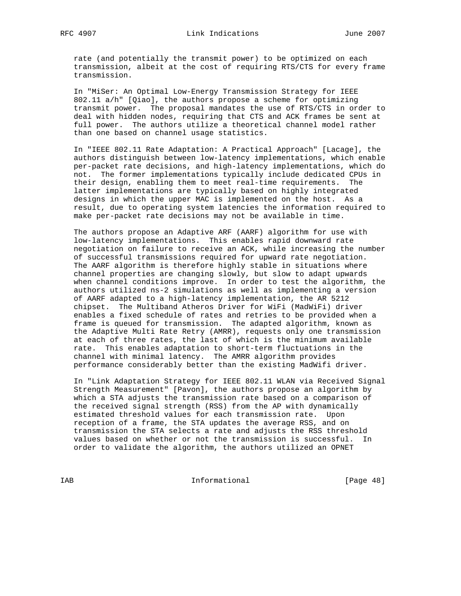rate (and potentially the transmit power) to be optimized on each transmission, albeit at the cost of requiring RTS/CTS for every frame transmission.

 In "MiSer: An Optimal Low-Energy Transmission Strategy for IEEE 802.11 a/h" [Qiao], the authors propose a scheme for optimizing transmit power. The proposal mandates the use of RTS/CTS in order to deal with hidden nodes, requiring that CTS and ACK frames be sent at full power. The authors utilize a theoretical channel model rather than one based on channel usage statistics.

 In "IEEE 802.11 Rate Adaptation: A Practical Approach" [Lacage], the authors distinguish between low-latency implementations, which enable per-packet rate decisions, and high-latency implementations, which do not. The former implementations typically include dedicated CPUs in their design, enabling them to meet real-time requirements. The latter implementations are typically based on highly integrated designs in which the upper MAC is implemented on the host. As a result, due to operating system latencies the information required to make per-packet rate decisions may not be available in time.

 The authors propose an Adaptive ARF (AARF) algorithm for use with low-latency implementations. This enables rapid downward rate negotiation on failure to receive an ACK, while increasing the number of successful transmissions required for upward rate negotiation. The AARF algorithm is therefore highly stable in situations where channel properties are changing slowly, but slow to adapt upwards when channel conditions improve. In order to test the algorithm, the authors utilized ns-2 simulations as well as implementing a version of AARF adapted to a high-latency implementation, the AR 5212 chipset. The Multiband Atheros Driver for WiFi (MadWiFi) driver enables a fixed schedule of rates and retries to be provided when a frame is queued for transmission. The adapted algorithm, known as the Adaptive Multi Rate Retry (AMRR), requests only one transmission at each of three rates, the last of which is the minimum available rate. This enables adaptation to short-term fluctuations in the channel with minimal latency. The AMRR algorithm provides performance considerably better than the existing MadWifi driver.

 In "Link Adaptation Strategy for IEEE 802.11 WLAN via Received Signal Strength Measurement" [Pavon], the authors propose an algorithm by which a STA adjusts the transmission rate based on a comparison of the received signal strength (RSS) from the AP with dynamically estimated threshold values for each transmission rate. Upon reception of a frame, the STA updates the average RSS, and on transmission the STA selects a rate and adjusts the RSS threshold values based on whether or not the transmission is successful. In order to validate the algorithm, the authors utilized an OPNET

IAB Informational [Page 48]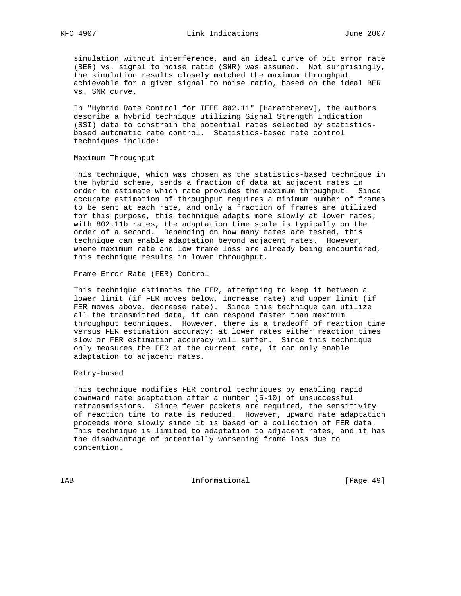simulation without interference, and an ideal curve of bit error rate (BER) vs. signal to noise ratio (SNR) was assumed. Not surprisingly, the simulation results closely matched the maximum throughput achievable for a given signal to noise ratio, based on the ideal BER vs. SNR curve.

 In "Hybrid Rate Control for IEEE 802.11" [Haratcherev], the authors describe a hybrid technique utilizing Signal Strength Indication (SSI) data to constrain the potential rates selected by statistics based automatic rate control. Statistics-based rate control techniques include:

#### Maximum Throughput

 This technique, which was chosen as the statistics-based technique in the hybrid scheme, sends a fraction of data at adjacent rates in order to estimate which rate provides the maximum throughput. Since accurate estimation of throughput requires a minimum number of frames to be sent at each rate, and only a fraction of frames are utilized for this purpose, this technique adapts more slowly at lower rates; with 802.11b rates, the adaptation time scale is typically on the order of a second. Depending on how many rates are tested, this technique can enable adaptation beyond adjacent rates. However, where maximum rate and low frame loss are already being encountered, this technique results in lower throughput.

Frame Error Rate (FER) Control

 This technique estimates the FER, attempting to keep it between a lower limit (if FER moves below, increase rate) and upper limit (if FER moves above, decrease rate). Since this technique can utilize all the transmitted data, it can respond faster than maximum throughput techniques. However, there is a tradeoff of reaction time versus FER estimation accuracy; at lower rates either reaction times slow or FER estimation accuracy will suffer. Since this technique only measures the FER at the current rate, it can only enable adaptation to adjacent rates.

#### Retry-based

 This technique modifies FER control techniques by enabling rapid downward rate adaptation after a number (5-10) of unsuccessful retransmissions. Since fewer packets are required, the sensitivity of reaction time to rate is reduced. However, upward rate adaptation proceeds more slowly since it is based on a collection of FER data. This technique is limited to adaptation to adjacent rates, and it has the disadvantage of potentially worsening frame loss due to contention.

IAB Informational [Page 49]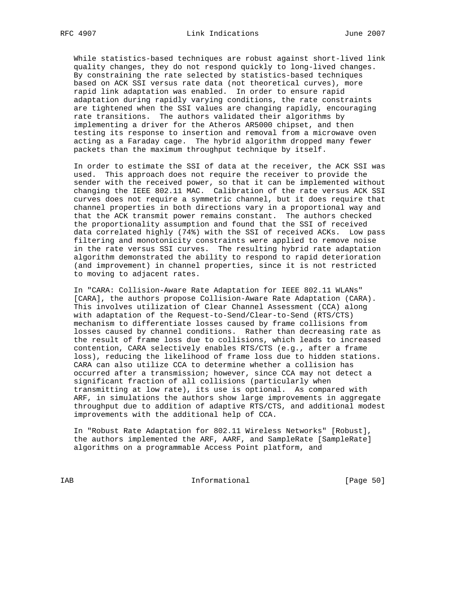While statistics-based techniques are robust against short-lived link quality changes, they do not respond quickly to long-lived changes. By constraining the rate selected by statistics-based techniques based on ACK SSI versus rate data (not theoretical curves), more rapid link adaptation was enabled. In order to ensure rapid adaptation during rapidly varying conditions, the rate constraints are tightened when the SSI values are changing rapidly, encouraging rate transitions. The authors validated their algorithms by implementing a driver for the Atheros AR5000 chipset, and then testing its response to insertion and removal from a microwave oven acting as a Faraday cage. The hybrid algorithm dropped many fewer packets than the maximum throughput technique by itself.

 In order to estimate the SSI of data at the receiver, the ACK SSI was used. This approach does not require the receiver to provide the sender with the received power, so that it can be implemented without changing the IEEE 802.11 MAC. Calibration of the rate versus ACK SSI curves does not require a symmetric channel, but it does require that channel properties in both directions vary in a proportional way and that the ACK transmit power remains constant. The authors checked the proportionality assumption and found that the SSI of received data correlated highly (74%) with the SSI of received ACKs. Low pass filtering and monotonicity constraints were applied to remove noise in the rate versus SSI curves. The resulting hybrid rate adaptation algorithm demonstrated the ability to respond to rapid deterioration (and improvement) in channel properties, since it is not restricted to moving to adjacent rates.

 In "CARA: Collision-Aware Rate Adaptation for IEEE 802.11 WLANs" [CARA], the authors propose Collision-Aware Rate Adaptation (CARA). This involves utilization of Clear Channel Assessment (CCA) along with adaptation of the Request-to-Send/Clear-to-Send (RTS/CTS) mechanism to differentiate losses caused by frame collisions from losses caused by channel conditions. Rather than decreasing rate as the result of frame loss due to collisions, which leads to increased contention, CARA selectively enables RTS/CTS (e.g., after a frame loss), reducing the likelihood of frame loss due to hidden stations. CARA can also utilize CCA to determine whether a collision has occurred after a transmission; however, since CCA may not detect a significant fraction of all collisions (particularly when transmitting at low rate), its use is optional. As compared with ARF, in simulations the authors show large improvements in aggregate throughput due to addition of adaptive RTS/CTS, and additional modest improvements with the additional help of CCA.

 In "Robust Rate Adaptation for 802.11 Wireless Networks" [Robust], the authors implemented the ARF, AARF, and SampleRate [SampleRate] algorithms on a programmable Access Point platform, and

IAB Informational [Page 50]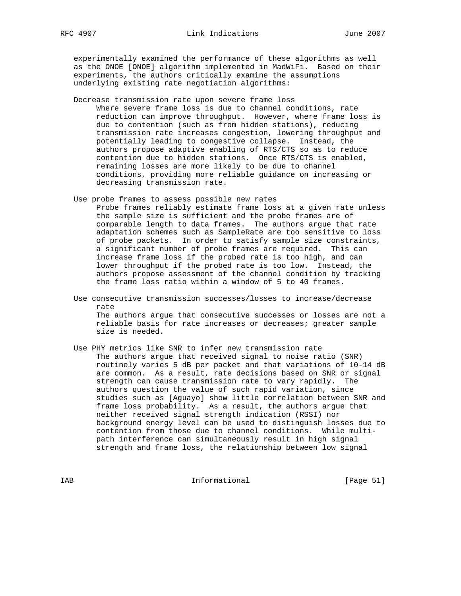experimentally examined the performance of these algorithms as well as the ONOE [ONOE] algorithm implemented in MadWiFi. Based on their experiments, the authors critically examine the assumptions underlying existing rate negotiation algorithms:

Decrease transmission rate upon severe frame loss

 Where severe frame loss is due to channel conditions, rate reduction can improve throughput. However, where frame loss is due to contention (such as from hidden stations), reducing transmission rate increases congestion, lowering throughput and potentially leading to congestive collapse. Instead, the authors propose adaptive enabling of RTS/CTS so as to reduce contention due to hidden stations. Once RTS/CTS is enabled, remaining losses are more likely to be due to channel conditions, providing more reliable guidance on increasing or decreasing transmission rate.

- Use probe frames to assess possible new rates Probe frames reliably estimate frame loss at a given rate unless the sample size is sufficient and the probe frames are of comparable length to data frames. The authors argue that rate adaptation schemes such as SampleRate are too sensitive to loss of probe packets. In order to satisfy sample size constraints, a significant number of probe frames are required. This can increase frame loss if the probed rate is too high, and can lower throughput if the probed rate is too low. Instead, the authors propose assessment of the channel condition by tracking the frame loss ratio within a window of 5 to 40 frames.
- Use consecutive transmission successes/losses to increase/decrease rate The authors argue that consecutive successes or losses are not a reliable basis for rate increases or decreases; greater sample size is needed.
- Use PHY metrics like SNR to infer new transmission rate The authors argue that received signal to noise ratio (SNR) routinely varies 5 dB per packet and that variations of 10-14 dB are common. As a result, rate decisions based on SNR or signal strength can cause transmission rate to vary rapidly. The authors question the value of such rapid variation, since studies such as [Aguayo] show little correlation between SNR and frame loss probability. As a result, the authors argue that neither received signal strength indication (RSSI) nor background energy level can be used to distinguish losses due to contention from those due to channel conditions. While multi path interference can simultaneously result in high signal strength and frame loss, the relationship between low signal

IAB Informational [Page 51]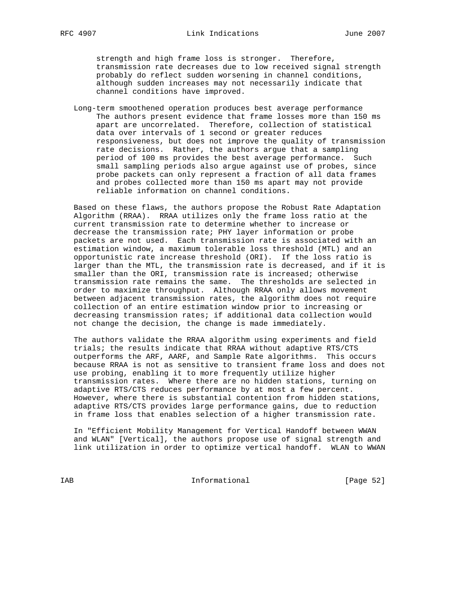strength and high frame loss is stronger. Therefore, transmission rate decreases due to low received signal strength probably do reflect sudden worsening in channel conditions, although sudden increases may not necessarily indicate that channel conditions have improved.

 Long-term smoothened operation produces best average performance The authors present evidence that frame losses more than 150 ms apart are uncorrelated. Therefore, collection of statistical data over intervals of 1 second or greater reduces responsiveness, but does not improve the quality of transmission rate decisions. Rather, the authors argue that a sampling period of 100 ms provides the best average performance. Such small sampling periods also argue against use of probes, since probe packets can only represent a fraction of all data frames and probes collected more than 150 ms apart may not provide reliable information on channel conditions.

 Based on these flaws, the authors propose the Robust Rate Adaptation Algorithm (RRAA). RRAA utilizes only the frame loss ratio at the current transmission rate to determine whether to increase or decrease the transmission rate; PHY layer information or probe packets are not used. Each transmission rate is associated with an estimation window, a maximum tolerable loss threshold (MTL) and an opportunistic rate increase threshold (ORI). If the loss ratio is larger than the MTL, the transmission rate is decreased, and if it is smaller than the ORI, transmission rate is increased; otherwise transmission rate remains the same. The thresholds are selected in order to maximize throughput. Although RRAA only allows movement between adjacent transmission rates, the algorithm does not require collection of an entire estimation window prior to increasing or decreasing transmission rates; if additional data collection would not change the decision, the change is made immediately.

 The authors validate the RRAA algorithm using experiments and field trials; the results indicate that RRAA without adaptive RTS/CTS outperforms the ARF, AARF, and Sample Rate algorithms. This occurs because RRAA is not as sensitive to transient frame loss and does not use probing, enabling it to more frequently utilize higher transmission rates. Where there are no hidden stations, turning on adaptive RTS/CTS reduces performance by at most a few percent. However, where there is substantial contention from hidden stations, adaptive RTS/CTS provides large performance gains, due to reduction in frame loss that enables selection of a higher transmission rate.

 In "Efficient Mobility Management for Vertical Handoff between WWAN and WLAN" [Vertical], the authors propose use of signal strength and link utilization in order to optimize vertical handoff. WLAN to WWAN

IAB Informational [Page 52]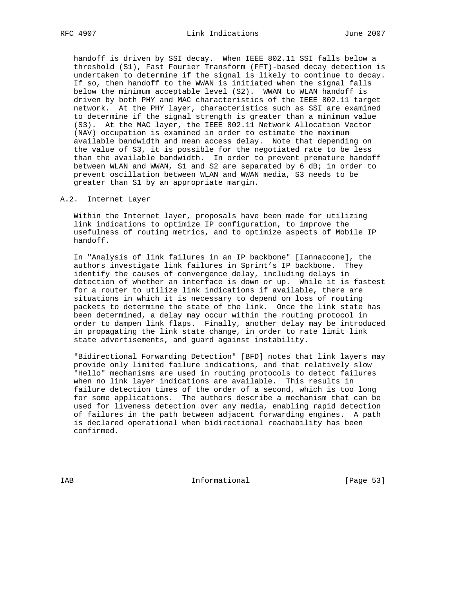handoff is driven by SSI decay. When IEEE 802.11 SSI falls below a threshold (S1), Fast Fourier Transform (FFT)-based decay detection is undertaken to determine if the signal is likely to continue to decay. If so, then handoff to the WWAN is initiated when the signal falls below the minimum acceptable level (S2). WWAN to WLAN handoff is driven by both PHY and MAC characteristics of the IEEE 802.11 target network. At the PHY layer, characteristics such as SSI are examined to determine if the signal strength is greater than a minimum value (S3). At the MAC layer, the IEEE 802.11 Network Allocation Vector (NAV) occupation is examined in order to estimate the maximum available bandwidth and mean access delay. Note that depending on the value of S3, it is possible for the negotiated rate to be less than the available bandwidth. In order to prevent premature handoff between WLAN and WWAN, S1 and S2 are separated by 6 dB; in order to prevent oscillation between WLAN and WWAN media, S3 needs to be greater than S1 by an appropriate margin.

#### A.2. Internet Layer

 Within the Internet layer, proposals have been made for utilizing link indications to optimize IP configuration, to improve the usefulness of routing metrics, and to optimize aspects of Mobile IP handoff.

 In "Analysis of link failures in an IP backbone" [Iannaccone], the authors investigate link failures in Sprint's IP backbone. They identify the causes of convergence delay, including delays in detection of whether an interface is down or up. While it is fastest for a router to utilize link indications if available, there are situations in which it is necessary to depend on loss of routing packets to determine the state of the link. Once the link state has been determined, a delay may occur within the routing protocol in order to dampen link flaps. Finally, another delay may be introduced in propagating the link state change, in order to rate limit link state advertisements, and guard against instability.

 "Bidirectional Forwarding Detection" [BFD] notes that link layers may provide only limited failure indications, and that relatively slow "Hello" mechanisms are used in routing protocols to detect failures when no link layer indications are available. This results in failure detection times of the order of a second, which is too long for some applications. The authors describe a mechanism that can be used for liveness detection over any media, enabling rapid detection of failures in the path between adjacent forwarding engines. A path is declared operational when bidirectional reachability has been confirmed.

IAB Informational [Page 53]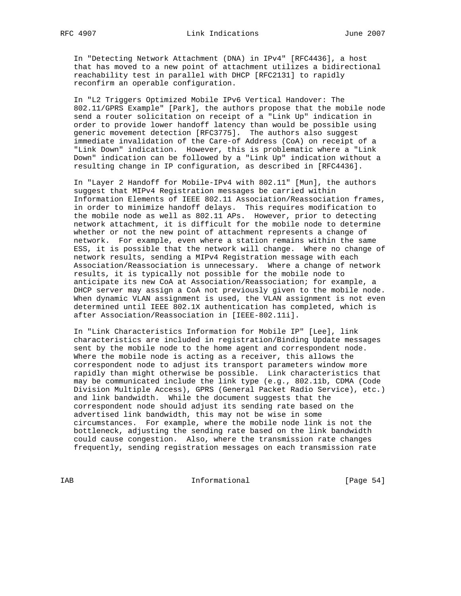In "Detecting Network Attachment (DNA) in IPv4" [RFC4436], a host that has moved to a new point of attachment utilizes a bidirectional reachability test in parallel with DHCP [RFC2131] to rapidly reconfirm an operable configuration.

 In "L2 Triggers Optimized Mobile IPv6 Vertical Handover: The 802.11/GPRS Example" [Park], the authors propose that the mobile node send a router solicitation on receipt of a "Link Up" indication in order to provide lower handoff latency than would be possible using generic movement detection [RFC3775]. The authors also suggest immediate invalidation of the Care-of Address (CoA) on receipt of a "Link Down" indication. However, this is problematic where a "Link Down" indication can be followed by a "Link Up" indication without a resulting change in IP configuration, as described in [RFC4436].

 In "Layer 2 Handoff for Mobile-IPv4 with 802.11" [Mun], the authors suggest that MIPv4 Registration messages be carried within Information Elements of IEEE 802.11 Association/Reassociation frames, in order to minimize handoff delays. This requires modification to the mobile node as well as 802.11 APs. However, prior to detecting network attachment, it is difficult for the mobile node to determine whether or not the new point of attachment represents a change of network. For example, even where a station remains within the same ESS, it is possible that the network will change. Where no change of network results, sending a MIPv4 Registration message with each Association/Reassociation is unnecessary. Where a change of network results, it is typically not possible for the mobile node to anticipate its new CoA at Association/Reassociation; for example, a DHCP server may assign a CoA not previously given to the mobile node. When dynamic VLAN assignment is used, the VLAN assignment is not even determined until IEEE 802.1X authentication has completed, which is after Association/Reassociation in [IEEE-802.11i].

 In "Link Characteristics Information for Mobile IP" [Lee], link characteristics are included in registration/Binding Update messages sent by the mobile node to the home agent and correspondent node. Where the mobile node is acting as a receiver, this allows the correspondent node to adjust its transport parameters window more rapidly than might otherwise be possible. Link characteristics that may be communicated include the link type (e.g., 802.11b, CDMA (Code Division Multiple Access), GPRS (General Packet Radio Service), etc.) and link bandwidth. While the document suggests that the correspondent node should adjust its sending rate based on the advertised link bandwidth, this may not be wise in some circumstances. For example, where the mobile node link is not the bottleneck, adjusting the sending rate based on the link bandwidth could cause congestion. Also, where the transmission rate changes frequently, sending registration messages on each transmission rate

IAB Informational [Page 54]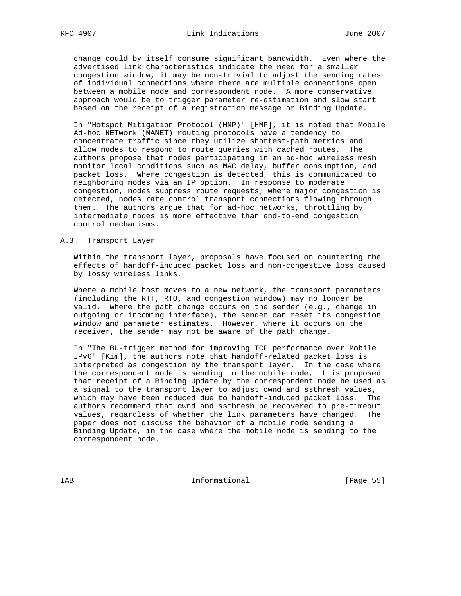change could by itself consume significant bandwidth. Even where the advertised link characteristics indicate the need for a smaller congestion window, it may be non-trivial to adjust the sending rates of individual connections where there are multiple connections open between a mobile node and correspondent node. A more conservative approach would be to trigger parameter re-estimation and slow start based on the receipt of a registration message or Binding Update.

 In "Hotspot Mitigation Protocol (HMP)" [HMP], it is noted that Mobile Ad-hoc NETwork (MANET) routing protocols have a tendency to concentrate traffic since they utilize shortest-path metrics and allow nodes to respond to route queries with cached routes. The authors propose that nodes participating in an ad-hoc wireless mesh monitor local conditions such as MAC delay, buffer consumption, and packet loss. Where congestion is detected, this is communicated to neighboring nodes via an IP option. In response to moderate congestion, nodes suppress route requests; where major congestion is detected, nodes rate control transport connections flowing through them. The authors argue that for ad-hoc networks, throttling by intermediate nodes is more effective than end-to-end congestion control mechanisms.

#### A.3. Transport Layer

 Within the transport layer, proposals have focused on countering the effects of handoff-induced packet loss and non-congestive loss caused by lossy wireless links.

 Where a mobile host moves to a new network, the transport parameters (including the RTT, RTO, and congestion window) may no longer be valid. Where the path change occurs on the sender (e.g., change in outgoing or incoming interface), the sender can reset its congestion window and parameter estimates. However, where it occurs on the receiver, the sender may not be aware of the path change.

 In "The BU-trigger method for improving TCP performance over Mobile IPv6" [Kim], the authors note that handoff-related packet loss is interpreted as congestion by the transport layer. In the case where the correspondent node is sending to the mobile node, it is proposed that receipt of a Binding Update by the correspondent node be used as a signal to the transport layer to adjust cwnd and ssthresh values, which may have been reduced due to handoff-induced packet loss. The authors recommend that cwnd and ssthresh be recovered to pre-timeout values, regardless of whether the link parameters have changed. The paper does not discuss the behavior of a mobile node sending a Binding Update, in the case where the mobile node is sending to the correspondent node.

IAB 188 CHA Informational The Informational (Page 55)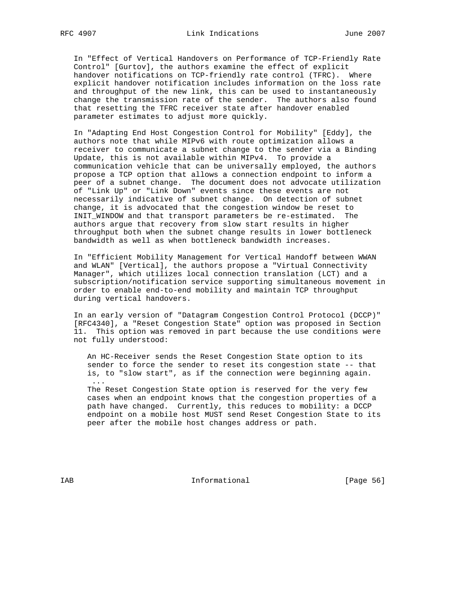In "Effect of Vertical Handovers on Performance of TCP-Friendly Rate Control" [Gurtov], the authors examine the effect of explicit handover notifications on TCP-friendly rate control (TFRC). Where explicit handover notification includes information on the loss rate and throughput of the new link, this can be used to instantaneously change the transmission rate of the sender. The authors also found that resetting the TFRC receiver state after handover enabled parameter estimates to adjust more quickly.

 In "Adapting End Host Congestion Control for Mobility" [Eddy], the authors note that while MIPv6 with route optimization allows a receiver to communicate a subnet change to the sender via a Binding Update, this is not available within MIPv4. To provide a communication vehicle that can be universally employed, the authors propose a TCP option that allows a connection endpoint to inform a peer of a subnet change. The document does not advocate utilization of "Link Up" or "Link Down" events since these events are not necessarily indicative of subnet change. On detection of subnet change, it is advocated that the congestion window be reset to INIT\_WINDOW and that transport parameters be re-estimated. The authors argue that recovery from slow start results in higher throughput both when the subnet change results in lower bottleneck bandwidth as well as when bottleneck bandwidth increases.

 In "Efficient Mobility Management for Vertical Handoff between WWAN and WLAN" [Vertical], the authors propose a "Virtual Connectivity Manager", which utilizes local connection translation (LCT) and a subscription/notification service supporting simultaneous movement in order to enable end-to-end mobility and maintain TCP throughput during vertical handovers.

 In an early version of "Datagram Congestion Control Protocol (DCCP)" [RFC4340], a "Reset Congestion State" option was proposed in Section 11. This option was removed in part because the use conditions were not fully understood:

 An HC-Receiver sends the Reset Congestion State option to its sender to force the sender to reset its congestion state -- that is, to "slow start", as if the connection were beginning again.

 The Reset Congestion State option is reserved for the very few cases when an endpoint knows that the congestion properties of a path have changed. Currently, this reduces to mobility: a DCCP endpoint on a mobile host MUST send Reset Congestion State to its peer after the mobile host changes address or path.

IAB 188 and 100 Informational 188 and 1980 Informational 188 and 1890 Interventional 1890 Interventional 1890

...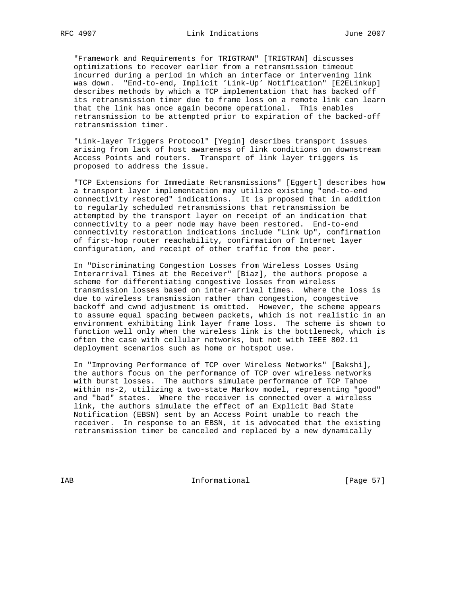"Framework and Requirements for TRIGTRAN" [TRIGTRAN] discusses optimizations to recover earlier from a retransmission timeout incurred during a period in which an interface or intervening link was down. "End-to-end, Implicit 'Link-Up' Notification" [E2ELinkup] describes methods by which a TCP implementation that has backed off its retransmission timer due to frame loss on a remote link can learn that the link has once again become operational. This enables retransmission to be attempted prior to expiration of the backed-off retransmission timer.

 "Link-layer Triggers Protocol" [Yegin] describes transport issues arising from lack of host awareness of link conditions on downstream Access Points and routers. Transport of link layer triggers is proposed to address the issue.

 "TCP Extensions for Immediate Retransmissions" [Eggert] describes how a transport layer implementation may utilize existing "end-to-end connectivity restored" indications. It is proposed that in addition to regularly scheduled retransmissions that retransmission be attempted by the transport layer on receipt of an indication that connectivity to a peer node may have been restored. End-to-end connectivity restoration indications include "Link Up", confirmation of first-hop router reachability, confirmation of Internet layer configuration, and receipt of other traffic from the peer.

 In "Discriminating Congestion Losses from Wireless Losses Using Interarrival Times at the Receiver" [Biaz], the authors propose a scheme for differentiating congestive losses from wireless transmission losses based on inter-arrival times. Where the loss is due to wireless transmission rather than congestion, congestive backoff and cwnd adjustment is omitted. However, the scheme appears to assume equal spacing between packets, which is not realistic in an environment exhibiting link layer frame loss. The scheme is shown to function well only when the wireless link is the bottleneck, which is often the case with cellular networks, but not with IEEE 802.11 deployment scenarios such as home or hotspot use.

 In "Improving Performance of TCP over Wireless Networks" [Bakshi], the authors focus on the performance of TCP over wireless networks with burst losses. The authors simulate performance of TCP Tahoe within ns-2, utilizing a two-state Markov model, representing "good" and "bad" states. Where the receiver is connected over a wireless link, the authors simulate the effect of an Explicit Bad State Notification (EBSN) sent by an Access Point unable to reach the receiver. In response to an EBSN, it is advocated that the existing retransmission timer be canceled and replaced by a new dynamically

IAB Informational [Page 57]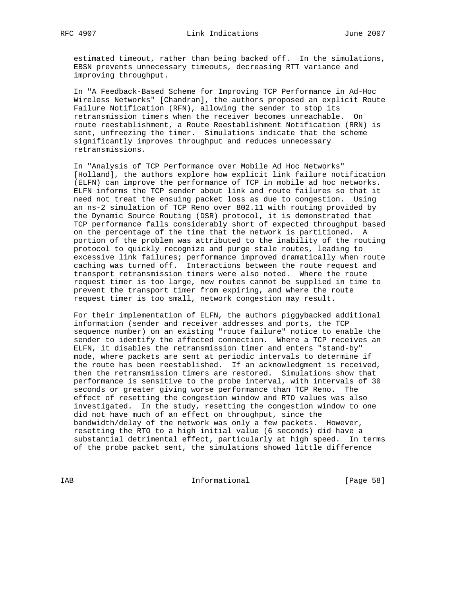estimated timeout, rather than being backed off. In the simulations, EBSN prevents unnecessary timeouts, decreasing RTT variance and improving throughput.

 In "A Feedback-Based Scheme for Improving TCP Performance in Ad-Hoc Wireless Networks" [Chandran], the authors proposed an explicit Route Failure Notification (RFN), allowing the sender to stop its retransmission timers when the receiver becomes unreachable. On route reestablishment, a Route Reestablishment Notification (RRN) is sent, unfreezing the timer. Simulations indicate that the scheme significantly improves throughput and reduces unnecessary retransmissions.

 In "Analysis of TCP Performance over Mobile Ad Hoc Networks" [Holland], the authors explore how explicit link failure notification (ELFN) can improve the performance of TCP in mobile ad hoc networks. ELFN informs the TCP sender about link and route failures so that it need not treat the ensuing packet loss as due to congestion. Using an ns-2 simulation of TCP Reno over 802.11 with routing provided by the Dynamic Source Routing (DSR) protocol, it is demonstrated that TCP performance falls considerably short of expected throughput based on the percentage of the time that the network is partitioned. A portion of the problem was attributed to the inability of the routing protocol to quickly recognize and purge stale routes, leading to excessive link failures; performance improved dramatically when route caching was turned off. Interactions between the route request and transport retransmission timers were also noted. Where the route request timer is too large, new routes cannot be supplied in time to prevent the transport timer from expiring, and where the route request timer is too small, network congestion may result.

 For their implementation of ELFN, the authors piggybacked additional information (sender and receiver addresses and ports, the TCP sequence number) on an existing "route failure" notice to enable the sender to identify the affected connection. Where a TCP receives an ELFN, it disables the retransmission timer and enters "stand-by" mode, where packets are sent at periodic intervals to determine if the route has been reestablished. If an acknowledgment is received, then the retransmission timers are restored. Simulations show that performance is sensitive to the probe interval, with intervals of 30 seconds or greater giving worse performance than TCP Reno. The effect of resetting the congestion window and RTO values was also investigated. In the study, resetting the congestion window to one did not have much of an effect on throughput, since the bandwidth/delay of the network was only a few packets. However, resetting the RTO to a high initial value (6 seconds) did have a substantial detrimental effect, particularly at high speed. In terms of the probe packet sent, the simulations showed little difference

IAB Informational [Page 58]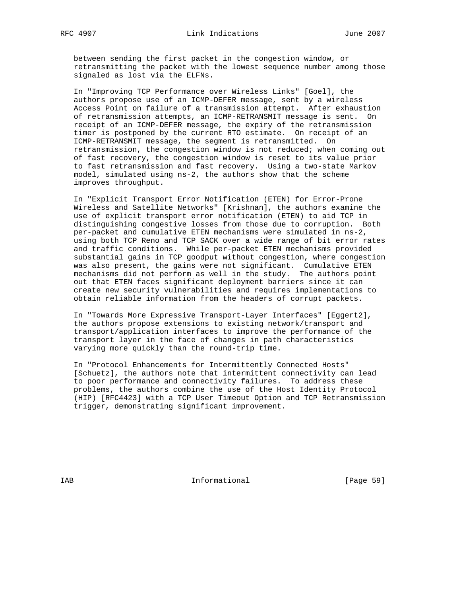between sending the first packet in the congestion window, or retransmitting the packet with the lowest sequence number among those signaled as lost via the ELFNs.

 In "Improving TCP Performance over Wireless Links" [Goel], the authors propose use of an ICMP-DEFER message, sent by a wireless Access Point on failure of a transmission attempt. After exhaustion of retransmission attempts, an ICMP-RETRANSMIT message is sent. On receipt of an ICMP-DEFER message, the expiry of the retransmission timer is postponed by the current RTO estimate. On receipt of an ICMP-RETRANSMIT message, the segment is retransmitted. On retransmission, the congestion window is not reduced; when coming out of fast recovery, the congestion window is reset to its value prior to fast retransmission and fast recovery. Using a two-state Markov model, simulated using ns-2, the authors show that the scheme improves throughput.

 In "Explicit Transport Error Notification (ETEN) for Error-Prone Wireless and Satellite Networks" [Krishnan], the authors examine the use of explicit transport error notification (ETEN) to aid TCP in distinguishing congestive losses from those due to corruption. Both per-packet and cumulative ETEN mechanisms were simulated in ns-2, using both TCP Reno and TCP SACK over a wide range of bit error rates and traffic conditions. While per-packet ETEN mechanisms provided substantial gains in TCP goodput without congestion, where congestion was also present, the gains were not significant. Cumulative ETEN mechanisms did not perform as well in the study. The authors point out that ETEN faces significant deployment barriers since it can create new security vulnerabilities and requires implementations to obtain reliable information from the headers of corrupt packets.

 In "Towards More Expressive Transport-Layer Interfaces" [Eggert2], the authors propose extensions to existing network/transport and transport/application interfaces to improve the performance of the transport layer in the face of changes in path characteristics varying more quickly than the round-trip time.

 In "Protocol Enhancements for Intermittently Connected Hosts" [Schuetz], the authors note that intermittent connectivity can lead to poor performance and connectivity failures. To address these problems, the authors combine the use of the Host Identity Protocol (HIP) [RFC4423] with a TCP User Timeout Option and TCP Retransmission trigger, demonstrating significant improvement.

IAB Informational [Page 59]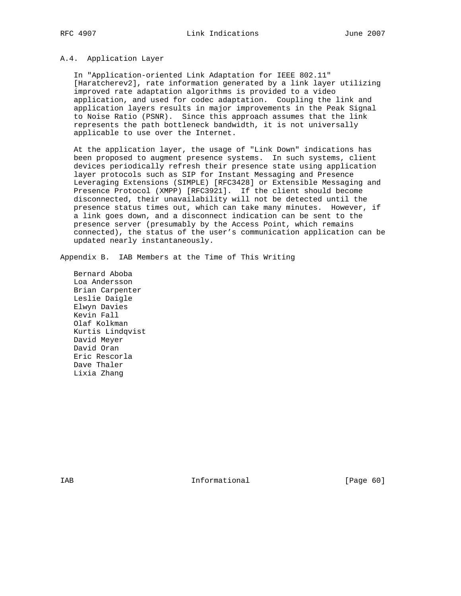# A.4. Application Layer

 In "Application-oriented Link Adaptation for IEEE 802.11" [Haratcherev2], rate information generated by a link layer utilizing improved rate adaptation algorithms is provided to a video application, and used for codec adaptation. Coupling the link and application layers results in major improvements in the Peak Signal to Noise Ratio (PSNR). Since this approach assumes that the link represents the path bottleneck bandwidth, it is not universally applicable to use over the Internet.

 At the application layer, the usage of "Link Down" indications has been proposed to augment presence systems. In such systems, client devices periodically refresh their presence state using application layer protocols such as SIP for Instant Messaging and Presence Leveraging Extensions (SIMPLE) [RFC3428] or Extensible Messaging and Presence Protocol (XMPP) [RFC3921]. If the client should become disconnected, their unavailability will not be detected until the presence status times out, which can take many minutes. However, if a link goes down, and a disconnect indication can be sent to the presence server (presumably by the Access Point, which remains connected), the status of the user's communication application can be updated nearly instantaneously.

Appendix B. IAB Members at the Time of This Writing

 Bernard Aboba Loa Andersson Brian Carpenter Leslie Daigle Elwyn Davies Kevin Fall Olaf Kolkman Kurtis Lindqvist David Meyer David Oran Eric Rescorla Dave Thaler Lixia Zhang

IAB 188 CHA Informational The Informational (Page 60)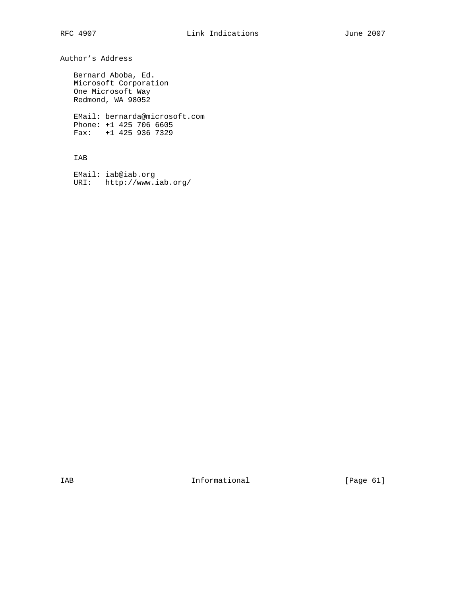Author's Address

 Bernard Aboba, Ed. Microsoft Corporation One Microsoft Way Redmond, WA 98052

 EMail: bernarda@microsoft.com Phone: +1 425 706 6605 Fax: +1 425 936 7329

## IAB

 EMail: iab@iab.org URI: http://www.iab.org/

IAB Informational [Page 61]